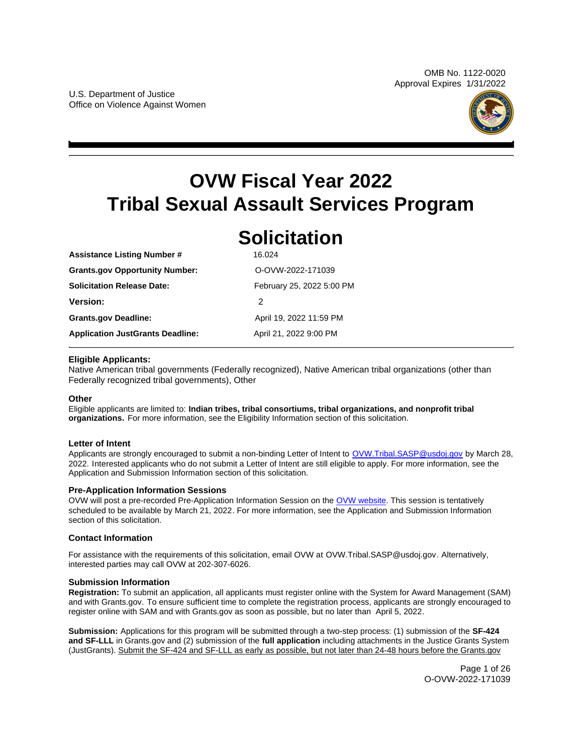

# <span id="page-0-0"></span>**OVW Fiscal Year 2022 Tribal Sexual Assault Services Program**

# **Solicitation**

| <b>ASSISTANCE LISTING NUMBER #</b>      | 10.UZ4                    |
|-----------------------------------------|---------------------------|
| <b>Grants.gov Opportunity Number:</b>   | O-OVW-2022-171039         |
| <b>Solicitation Release Date:</b>       | February 25, 2022 5:00 PM |
| <b>Version:</b>                         | 2                         |
| <b>Grants.gov Deadline:</b>             | April 19, 2022 11:59 PM   |
| <b>Application JustGrants Deadline:</b> | April 21, 2022 9:00 PM    |

# **Eligible Applicants:**

**Assistance Listing Number #**  16.024

Native American tribal governments (Federally recognized), Native American tribal organizations (other than Federally recognized tribal governments), Other

# **Other**

Eligible applicants are limited to: **Indian tribes, tribal consortiums, tribal organizations, and nonprofit tribal organizations.** For more information, see the Eligibility Information section of this solicitation.

# **Letter of Intent**

Applicants are strongly encouraged to submit a non-binding Letter of Intent to [OVW.Tribal.SASP@usdoj.gov](mailto:OVW.Tribal.SASP@usdoj.gov) by March 28, 2022. Interested applicants who do not submit a Letter of Intent are still eligible to apply. For more information, see the Application and Submission Information section of this solicitation.

# **Pre-Application Information Sessions**

OVW will post a pre-recorded Pre-Application Information Session on the [OVW website.](https://www.justice.gov/ovw/resources-applicants#Program Specific) This session is tentatively scheduled to be available by March 21, 2022. For more information, see the Application and Submission Information section of this solicitation.

# **Contact Information**

For assistance with the requirements of this solicitation, email OVW at [OVW.Tribal.SASP@usdoj.gov](mailto:OVW.Tribal.SASP@usdoj.gov). Alternatively, interested parties may call OVW at 202-307-6026.

# **Submission Information**

**Registration:** To submit an application, all applicants must register online with the System for Award Management (SAM) and with [Grants.gov.](https://Grants.gov) To ensure sufficient time to complete the registration process, applicants are strongly encouraged to register online with SAM and with [Grants.gov](https://Grants.gov) as soon as possible, but no later than April 5, 2022.

**Submission:** Applications for this program will be submitted through a two-step process: (1) submission of the **SF-424 and SF-LLL** in [Grants.gov](https://Grants.gov) and (2) submission of the **full application** including attachments in the Justice Grants System (JustGrants). Submit the SF-424 and SF-LLL as early as possible, but not later than 24-48 hours before the [Grants.gov](https://Grants.gov) 

> Page 1 of 26 O-OVW-2022-171039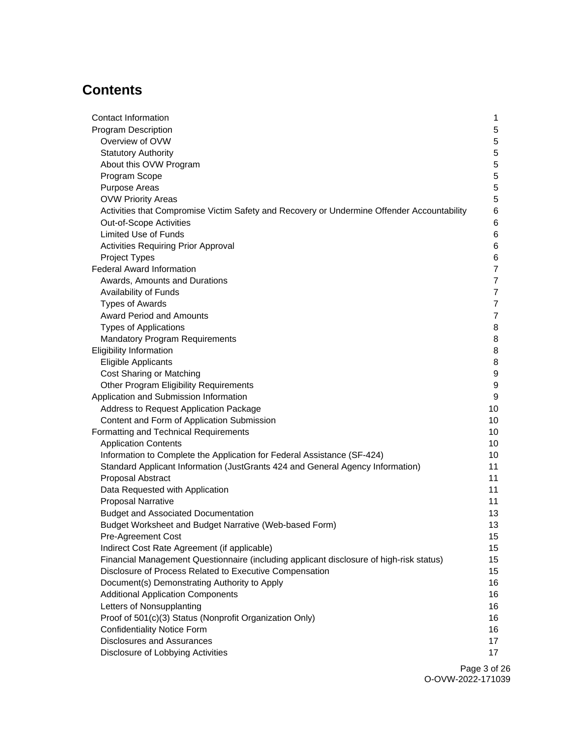# **Contents**

| Contact Information                                                                        | 1                |
|--------------------------------------------------------------------------------------------|------------------|
| <b>Program Description</b>                                                                 | 5                |
| Overview of OVW                                                                            | $\mathbf 5$      |
| <b>Statutory Authority</b>                                                                 | 5                |
| About this OVW Program                                                                     | $\mathbf 5$      |
| Program Scope                                                                              | $\mathbf 5$      |
| <b>Purpose Areas</b>                                                                       | $\mathbf 5$      |
| <b>OVW Priority Areas</b>                                                                  | $\mathbf 5$      |
| Activities that Compromise Victim Safety and Recovery or Undermine Offender Accountability | 6                |
| Out-of-Scope Activities                                                                    | 6                |
| <b>Limited Use of Funds</b>                                                                | 6                |
| Activities Requiring Prior Approval                                                        | 6                |
| Project Types                                                                              | 6                |
| <b>Federal Award Information</b>                                                           | $\overline{7}$   |
| Awards, Amounts and Durations                                                              | $\overline{7}$   |
| Availability of Funds                                                                      | $\overline{7}$   |
| <b>Types of Awards</b>                                                                     | $\overline{7}$   |
| <b>Award Period and Amounts</b>                                                            | $\overline{7}$   |
| <b>Types of Applications</b>                                                               | 8                |
| <b>Mandatory Program Requirements</b>                                                      | 8                |
| <b>Eligibility Information</b>                                                             | 8                |
| Eligible Applicants                                                                        | 8                |
| Cost Sharing or Matching                                                                   | $\boldsymbol{9}$ |
| Other Program Eligibility Requirements                                                     | $\boldsymbol{9}$ |
| Application and Submission Information                                                     | $\boldsymbol{9}$ |
| Address to Request Application Package                                                     | 10               |
| Content and Form of Application Submission                                                 | 10               |
| Formatting and Technical Requirements                                                      | 10               |
| <b>Application Contents</b>                                                                | 10               |
| Information to Complete the Application for Federal Assistance (SF-424)                    | 10               |
| Standard Applicant Information (JustGrants 424 and General Agency Information)             | 11               |
| Proposal Abstract                                                                          | 11               |
| Data Requested with Application                                                            | 11               |
| <b>Proposal Narrative</b>                                                                  | 11               |
| <b>Budget and Associated Documentation</b>                                                 | 13               |
| Budget Worksheet and Budget Narrative (Web-based Form)                                     | 13               |
| <b>Pre-Agreement Cost</b>                                                                  | 15               |
| Indirect Cost Rate Agreement (if applicable)                                               | 15               |
| Financial Management Questionnaire (including applicant disclosure of high-risk status)    | 15               |
| Disclosure of Process Related to Executive Compensation                                    | 15               |
| Document(s) Demonstrating Authority to Apply                                               | 16               |
| <b>Additional Application Components</b>                                                   | 16               |
| Letters of Nonsupplanting                                                                  | 16               |
| Proof of 501(c)(3) Status (Nonprofit Organization Only)                                    | 16               |
| <b>Confidentiality Notice Form</b>                                                         | 16               |
| <b>Disclosures and Assurances</b>                                                          | 17               |
| Disclosure of Lobbying Activities                                                          | 17               |
|                                                                                            |                  |

Page 3 of 26 O-OVW-2022-171039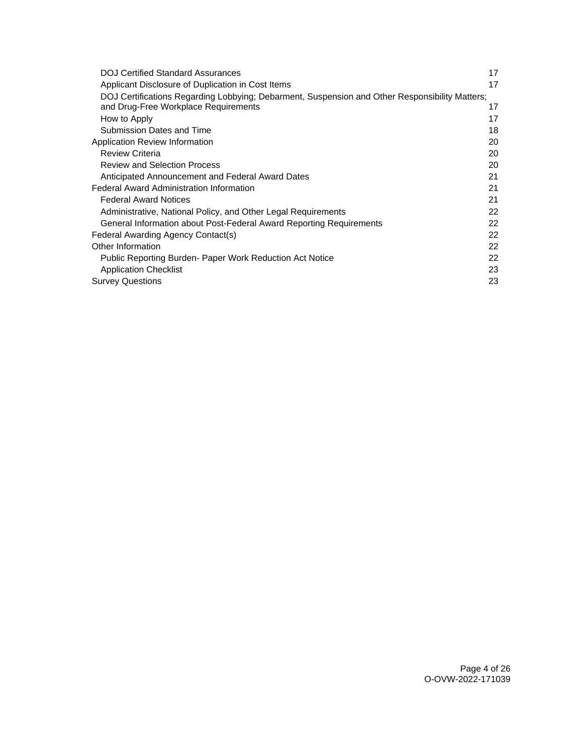| <b>DOJ Certified Standard Assurances</b>                                                       | 17 |
|------------------------------------------------------------------------------------------------|----|
| Applicant Disclosure of Duplication in Cost Items                                              | 17 |
| DOJ Certifications Regarding Lobbying; Debarment, Suspension and Other Responsibility Matters; |    |
| and Drug-Free Workplace Requirements                                                           | 17 |
| How to Apply                                                                                   | 17 |
| Submission Dates and Time                                                                      | 18 |
| Application Review Information                                                                 | 20 |
| <b>Review Criteria</b>                                                                         | 20 |
| <b>Review and Selection Process</b>                                                            | 20 |
| Anticipated Announcement and Federal Award Dates                                               | 21 |
| <b>Federal Award Administration Information</b>                                                | 21 |
| <b>Federal Award Notices</b>                                                                   | 21 |
| Administrative, National Policy, and Other Legal Requirements                                  | 22 |
| General Information about Post-Federal Award Reporting Requirements                            | 22 |
| Federal Awarding Agency Contact(s)                                                             | 22 |
| Other Information                                                                              | 22 |
| Public Reporting Burden- Paper Work Reduction Act Notice                                       | 22 |
| <b>Application Checklist</b>                                                                   | 23 |
| <b>Survey Questions</b>                                                                        | 23 |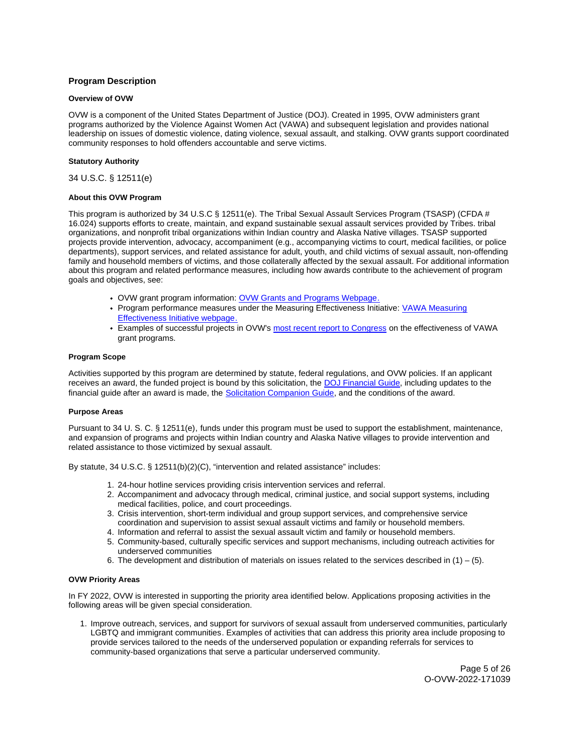# <span id="page-4-0"></span>**Program Description**

# **Overview of OVW**

OVW is a component of the United States Department of Justice (DOJ). Created in 1995, OVW administers grant programs authorized by the Violence Against Women Act (VAWA) and subsequent legislation and provides national leadership on issues of domestic violence, dating violence, sexual assault, and stalking. OVW grants support coordinated community responses to hold offenders accountable and serve victims.

# **Statutory Authority**

34 U.S.C. § 12511(e)

#### **About this OVW Program**

This program is authorized by 34 U.S.C § 12511(e). The Tribal Sexual Assault Services Program (TSASP) (CFDA # 16.024) supports efforts to create, maintain, and expand sustainable sexual assault services provided by Tribes. tribal organizations, and nonprofit tribal organizations within Indian country and Alaska Native villages. TSASP supported projects provide intervention, advocacy, accompaniment (e.g., accompanying victims to court, medical facilities, or police departments), support services, and related assistance for adult, youth, and child victims of sexual assault, non-offending family and household members of victims, and those collaterally affected by the sexual assault. For additional information about this program and related performance measures, including how awards contribute to the achievement of program goals and objectives, see:

- OVW grant program information: [OVW Grants and Programs Webpage.](https://www.justice.gov/ovw/grant-programs)
- Program performance measures under the Measuring Effectiveness Initiative: [VAWA Measuring](https://www.vawamei.org/grant-programs/)  [Effectiveness Initiative webpage.](https://www.vawamei.org/grant-programs/)
- Examples of successful projects in OVW's [most recent report to Congress](https://www.justice.gov/ovw/reports-congress#s1) on the effectiveness of VAWA grant programs.

#### **Program Scope**

Activities supported by this program are determined by statute, federal regulations, and OVW policies. If an applicant receives an award, the funded project is bound by this solicitation, the [DOJ Financial Guide,](https://www.justice.gov/ovw/page/file/1298396/download) including updates to the financial guide after an award is made, the [Solicitation Companion Guide,](https://www.justice.gov/ovw/resources-applicants) and the conditions of the award.

#### **Purpose Areas**

Pursuant to 34 U. S. C. § 12511(e), funds under this program must be used to support the establishment, maintenance, and expansion of programs and projects within Indian country and Alaska Native villages to provide intervention and related assistance to those victimized by sexual assault.

By statute, 34 U.S.C. § 12511(b)(2)(C), "intervention and related assistance" includes:

- 1. 24-hour hotline services providing crisis intervention services and referral.
- 2. Accompaniment and advocacy through medical, criminal justice, and social support systems, including medical facilities, police, and court proceedings.
- 3. Crisis intervention, short-term individual and group support services, and comprehensive service coordination and supervision to assist sexual assault victims and family or household members.
- 4. Information and referral to assist the sexual assault victim and family or household members.
- 5. Community-based, culturally specific services and support mechanisms, including outreach activities for underserved communities
- 6. The development and distribution of materials on issues related to the services described in  $(1) (5)$ .

# **OVW Priority Areas**

In FY 2022, OVW is interested in supporting the priority area identified below. Applications proposing activities in the following areas will be given special consideration.

1. Improve outreach, services, and support for survivors of sexual assault from underserved communities, particularly LGBTQ and immigrant communities. Examples of activities that can address this priority area include proposing to provide services tailored to the needs of the underserved population or expanding referrals for services to community-based organizations that serve a particular underserved community.

> Page 5 of 26 O-OVW-2022-171039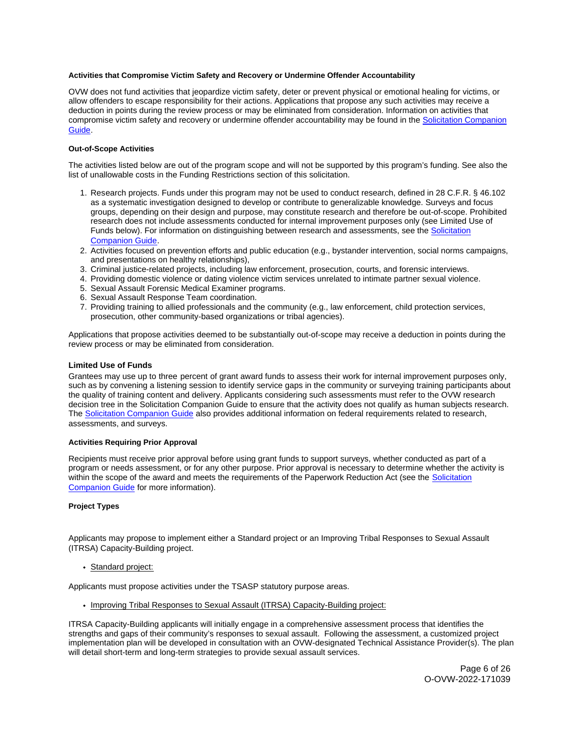#### <span id="page-5-0"></span>**Activities that Compromise Victim Safety and Recovery or Undermine Offender Accountability**

OVW does not fund activities that jeopardize victim safety, deter or prevent physical or emotional healing for victims, or allow offenders to escape responsibility for their actions. Applications that propose any such activities may receive a deduction in points during the review process or may be eliminated from consideration. Information on activities that compromise victim safety and recovery or undermine offender accountability may be found in the [Solicitation Companion](https://www.justice.gov/ovw/resources-applicants)  [Guide.](https://www.justice.gov/ovw/resources-applicants)

#### **Out-of-Scope Activities**

The activities listed below are out of the program scope and will not be supported by this program's funding. See also the list of unallowable costs in the Funding Restrictions section of this solicitation.

- 1. Research projects. Funds under this program may not be used to conduct research, defined in 28 C.F.R. § 46.102 as a systematic investigation designed to develop or contribute to generalizable knowledge. Surveys and focus groups, depending on their design and purpose, may constitute research and therefore be out-of-scope. Prohibited research does not include assessments conducted for internal improvement purposes only (see Limited Use of Funds below). For information on distinguishing between research and assessments, see the Solicitation [Companion Guide.](https://www.justice.gov/ovw/resources-applicants)
- 2. Activities focused on prevention efforts and public education (e.g., bystander intervention, social norms campaigns, and presentations on healthy relationships),
- 3. Criminal justice-related projects, including law enforcement, prosecution, courts, and forensic interviews.
- 4. Providing domestic violence or dating violence victim services unrelated to intimate partner sexual violence.
- 5. Sexual Assault Forensic Medical Examiner programs.
- 6. Sexual Assault Response Team coordination.
- 7. Providing training to allied professionals and the community (e.g., law enforcement, child protection services, prosecution, other community-based organizations or tribal agencies).

Applications that propose activities deemed to be substantially out-of-scope may receive a deduction in points during the review process or may be eliminated from consideration.

#### **Limited Use of Funds**

Grantees may use up to three percent of grant award funds to assess their work for internal improvement purposes only, such as by convening a listening session to identify service gaps in the community or surveying training participants about the quality of training content and delivery. Applicants considering such assessments must refer to the OVW research decision tree in the Solicitation Companion Guide to ensure that the activity does not qualify as human subjects research. The [Solicitation Companion Guide](https://www.justice.gov/ovw/resources-applicants) also provides additional information on federal requirements related to research, assessments, and surveys.

#### **Activities Requiring Prior Approval**

Recipients must receive prior approval before using grant funds to support surveys, whether conducted as part of a program or needs assessment, or for any other purpose. Prior approval is necessary to determine whether the activity is within the scope of the award and meets the requirements of the Paperwork Reduction Act (see the Solicitation [Companion Guide](https://www.justice.gov/ovw/resources-applicants) for more information).

#### **Project Types**

Applicants may propose to implement either a Standard project or an Improving Tribal Responses to Sexual Assault (ITRSA) Capacity-Building project.

#### Standard project:

Applicants must propose activities under the TSASP statutory purpose areas.

• Improving Tribal Responses to Sexual Assault (ITRSA) Capacity-Building project:

ITRSA Capacity-Building applicants will initially engage in a comprehensive assessment process that identifies the strengths and gaps of their community's responses to sexual assault. Following the assessment, a customized project implementation plan will be developed in consultation with an OVW-designated Technical Assistance Provider(s). The plan will detail short-term and long-term strategies to provide sexual assault services.

> Page 6 of 26 O-OVW-2022-171039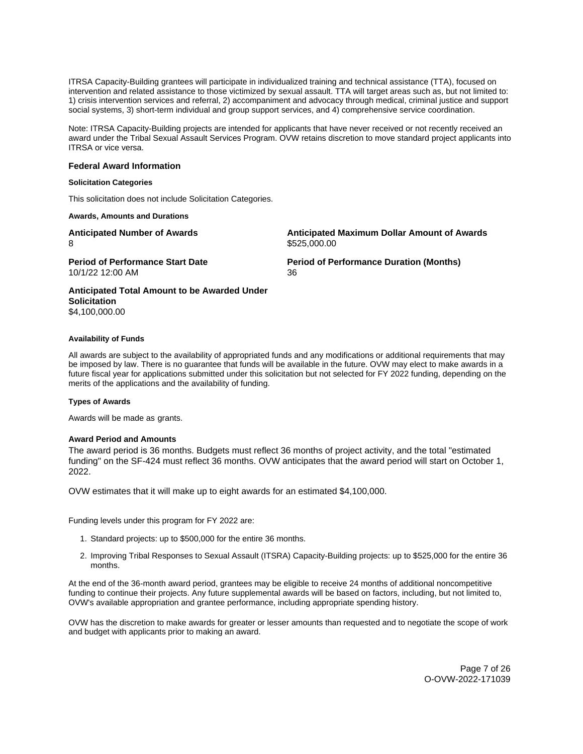<span id="page-6-0"></span>ITRSA Capacity-Building grantees will participate in individualized training and technical assistance (TTA), focused on intervention and related assistance to those victimized by sexual assault. TTA will target areas such as, but not limited to: 1) crisis intervention services and referral, 2) accompaniment and advocacy through medical, criminal justice and support social systems, 3) short-term individual and group support services, and 4) comprehensive service coordination.

Note: ITRSA Capacity-Building projects are intended for applicants that have never received or not recently received an award under the Tribal Sexual Assault Services Program. OVW retains discretion to move standard project applicants into ITRSA or vice versa.

# **Federal Award Information**

#### **Solicitation Categories**

This solicitation does not include Solicitation Categories.

**Awards, Amounts and Durations** 

**Anticipated Number of Awards Anticipated Maximum Dollar Amount of Awards**  8 \$525,000.00

10/1/22 12:00 AM 36

**Period of Performance Start Date Period of Performance Duration (Months)** 

**Anticipated Total Amount to be Awarded Under Solicitation**  \$4,100,000.00

#### **Availability of Funds**

All awards are subject to the availability of appropriated funds and any modifications or additional requirements that may be imposed by law. There is no guarantee that funds will be available in the future. OVW may elect to make awards in a future fiscal year for applications submitted under this solicitation but not selected for FY 2022 funding, depending on the merits of the applications and the availability of funding.

# **Types of Awards**

Awards will be made as grants.

# **Award Period and Amounts**

The award period is 36 months. Budgets must reflect 36 months of project activity, and the total "estimated funding" on the SF-424 must reflect 36 months. OVW anticipates that the award period will start on October 1, 2022.

OVW estimates that it will make up to eight awards for an estimated \$4,100,000.

Funding levels under this program for FY 2022 are:

- 1. Standard projects: up to \$500,000 for the entire 36 months.
- 2. Improving Tribal Responses to Sexual Assault (ITSRA) Capacity-Building projects: up to \$525,000 for the entire 36 months.

At the end of the 36-month award period, grantees may be eligible to receive 24 months of additional noncompetitive funding to continue their projects. Any future supplemental awards will be based on factors, including, but not limited to, OVW's available appropriation and grantee performance, including appropriate spending history.

OVW has the discretion to make awards for greater or lesser amounts than requested and to negotiate the scope of work and budget with applicants prior to making an award.

> Page 7 of 26 O-OVW-2022-171039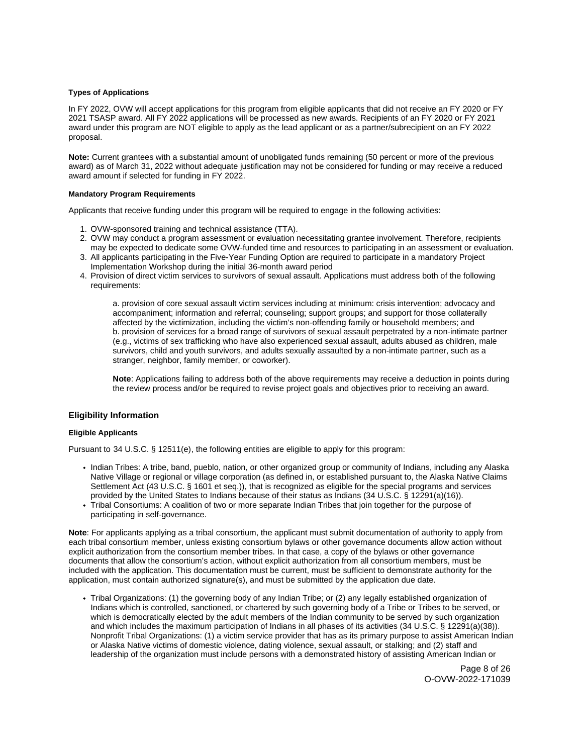# <span id="page-7-0"></span>**Types of Applications**

In FY 2022, OVW will accept applications for this program from eligible applicants that did not receive an FY 2020 or FY 2021 TSASP award. All FY 2022 applications will be processed as new awards. Recipients of an FY 2020 or FY 2021 award under this program are NOT eligible to apply as the lead applicant or as a partner/subrecipient on an FY 2022 proposal.

**Note:** Current grantees with a substantial amount of unobligated funds remaining (50 percent or more of the previous award) as of March 31, 2022 without adequate justification may not be considered for funding or may receive a reduced award amount if selected for funding in FY 2022.

# **Mandatory Program Requirements**

Applicants that receive funding under this program will be required to engage in the following activities:

- 1. OVW-sponsored training and technical assistance (TTA).
- 2. OVW may conduct a program assessment or evaluation necessitating grantee involvement. Therefore, recipients may be expected to dedicate some OVW-funded time and resources to participating in an assessment or evaluation.
- 3. All applicants participating in the Five-Year Funding Option are required to participate in a mandatory Project Implementation Workshop during the initial 36-month award period
- 4. Provision of direct victim services to survivors of sexual assault. Applications must address both of the following requirements:

a. provision of core sexual assault victim services including at minimum: crisis intervention; advocacy and accompaniment; information and referral; counseling; support groups; and support for those collaterally affected by the victimization, including the victim's non-offending family or household members; and b. provision of services for a broad range of survivors of sexual assault perpetrated by a non-intimate partner (e.g., victims of sex trafficking who have also experienced sexual assault, adults abused as children, male survivors, child and youth survivors, and adults sexually assaulted by a non-intimate partner, such as a stranger, neighbor, family member, or coworker).

**Note**: Applications failing to address both of the above requirements may receive a deduction in points during the review process and/or be required to revise project goals and objectives prior to receiving an award.

# **Eligibility Information**

#### **Eligible Applicants**

Pursuant to 34 U.S.C. § 12511(e), the following entities are eligible to apply for this program:

- Indian Tribes: A tribe, band, pueblo, nation, or other organized group or community of Indians, including any Alaska Native Village or regional or village corporation (as defined in, or established pursuant to, the Alaska Native Claims Settlement Act (43 U.S.C. § 1601 et seq.)), that is recognized as eligible for the special programs and services provided by the United States to Indians because of their status as Indians (34 U.S.C. § 12291(a)(16)).
- Tribal Consortiums: A coalition of two or more separate Indian Tribes that join together for the purpose of participating in self-governance.

**Note**: For applicants applying as a tribal consortium, the applicant must submit documentation of authority to apply from each tribal consortium member, unless existing consortium bylaws or other governance documents allow action without explicit authorization from the consortium member tribes. In that case, a copy of the bylaws or other governance documents that allow the consortium's action, without explicit authorization from all consortium members, must be included with the application. This documentation must be current, must be sufficient to demonstrate authority for the application, must contain authorized signature(s), and must be submitted by the application due date.

Tribal Organizations: (1) the governing body of any Indian Tribe; or (2) any legally established organization of Indians which is controlled, sanctioned, or chartered by such governing body of a Tribe or Tribes to be served, or which is democratically elected by the adult members of the Indian community to be served by such organization and which includes the maximum participation of Indians in all phases of its activities (34 U.S.C. § 12291(a)(38)). Nonprofit Tribal Organizations: (1) a victim service provider that has as its primary purpose to assist American Indian or Alaska Native victims of domestic violence, dating violence, sexual assault, or stalking; and (2) staff and leadership of the organization must include persons with a demonstrated history of assisting American Indian or

> Page 8 of 26 O-OVW-2022-171039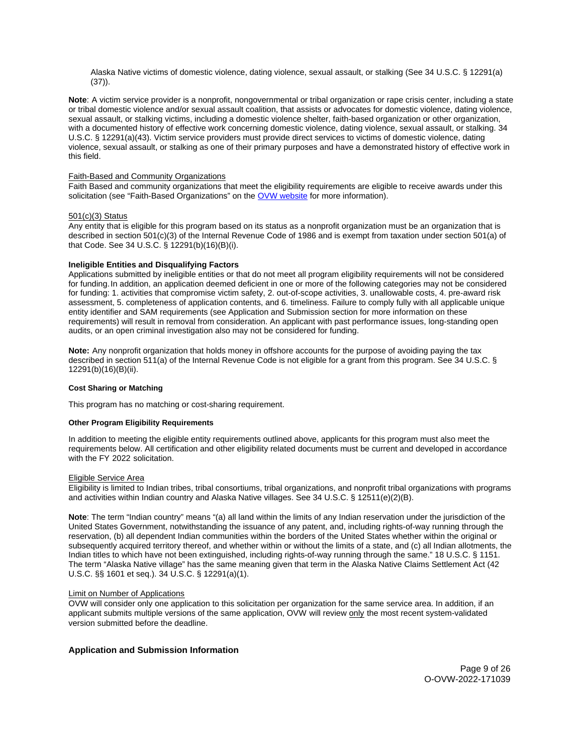<span id="page-8-0"></span>Alaska Native victims of domestic violence, dating violence, sexual assault, or stalking (See 34 U.S.C. § 12291(a) (37)).

**Note**: A victim service provider is a nonprofit, nongovernmental or tribal organization or rape crisis center, including a state or tribal domestic violence and/or sexual assault coalition, that assists or advocates for domestic violence, dating violence, sexual assault, or stalking victims, including a domestic violence shelter, faith-based organization or other organization, with a documented history of effective work concerning domestic violence, dating violence, sexual assault, or stalking. 34 U.S.C. § 12291(a)(43). Victim service providers must provide direct services to victims of domestic violence, dating violence, sexual assault, or stalking as one of their primary purposes and have a demonstrated history of effective work in this field.

# Faith-Based and Community Organizations

Faith Based and community organizations that meet the eligibility requirements are eligible to receive awards under this solicitation (see "Faith-Based Organizations" on the [OVW website](https://www.justice.gov/ovw/resources-applicants#Resources) for more information).

# 501(c)(3) Status

Any entity that is eligible for this program based on its status as a nonprofit organization must be an organization that is described in section 501(c)(3) of the Internal Revenue Code of 1986 and is exempt from taxation under section 501(a) of that Code. See 34 U.S.C. § 12291(b)(16)(B)(i).

# **Ineligible Entities and Disqualifying Factors**

Applications submitted by ineligible entities or that do not meet all program eligibility requirements will not be considered for [funding](https://funding.In).In addition, an application deemed deficient in one or more of the following categories may not be considered for funding: 1. activities that compromise victim safety, 2. out-of-scope activities, 3. unallowable costs, 4. pre-award risk assessment, 5. completeness of application contents, and 6. timeliness. Failure to comply fully with all applicable unique entity identifier and SAM requirements (see Application and Submission section for more information on these requirements) will result in removal from consideration. An applicant with past performance issues, long-standing open audits, or an open criminal investigation also may not be considered for funding.

**Note:** Any nonprofit organization that holds money in offshore accounts for the purpose of avoiding paying the tax described in section 511(a) of the Internal Revenue Code is not eligible for a grant from this program. See 34 U.S.C. § 12291(b)(16)(B)(ii).

# **Cost Sharing or Matching**

This program has no matching or cost-sharing requirement.

# **Other Program Eligibility Requirements**

In addition to meeting the eligible entity requirements outlined above, applicants for this program must also meet the requirements below. All certification and other eligibility related documents must be current and developed in accordance with the FY 2022 solicitation.

#### Eligible Service Area

Eligibility is limited to Indian tribes, tribal consortiums, tribal organizations, and nonprofit tribal organizations with programs and activities within Indian country and Alaska Native villages. See 34 U.S.C. § 12511(e)(2)(B).

**Note**: The term "Indian country" means "(a) all land within the limits of any Indian reservation under the jurisdiction of the United States Government, notwithstanding the issuance of any patent, and, including rights-of-way running through the reservation, (b) all dependent Indian communities within the borders of the United States whether within the original or subsequently acquired territory thereof, and whether within or without the limits of a state, and (c) all Indian allotments, the Indian titles to which have not been extinguished, including rights-of-way running through the same." 18 U.S.C. § 1151. The term "Alaska Native village" has the same meaning given that term in the Alaska Native Claims Settlement Act (42 U.S.C. §§ 1601 et seq.). 34 U.S.C. § 12291(a)(1).

#### Limit on Number of Applications

OVW will consider only one application to this solicitation per organization for the same service area. In addition, if an applicant submits multiple versions of the same application, OVW will review only the most recent system-validated version submitted before the deadline.

# **Application and Submission Information**

Page 9 of 26 O-OVW-2022-171039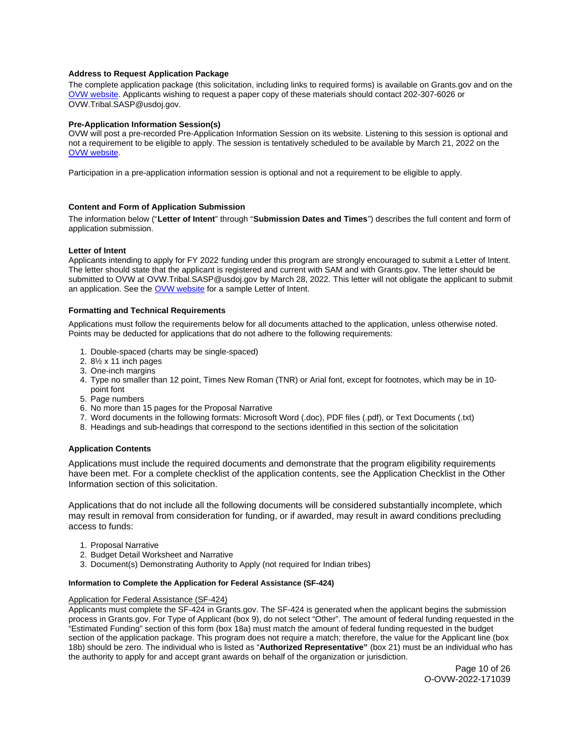# <span id="page-9-0"></span>**Address to Request Application Package**

The complete application package (this solicitation, including links to required forms) is available on [Grants.gov](https://Grants.gov) and on the [OVW website.](https://www.justice.gov/ovw/how-apply) Applicants wishing to request a paper copy of these materials should contact 202-307-6026 or [OVW.Tribal.SASP@usdoj.gov.](mailto:OVW.Tribal.SASP@usdoj.gov)

# **Pre-Application Information Session(s)**

OVW will post a pre-recorded Pre-Application Information Session on its website. Listening to this session is optional and not a requirement to be eligible to apply. The session is tentatively scheduled to be available by March 21, 2022 on the [OVW website.](https://www.justice.gov/ovw/how-apply)

Participation in a pre-application information session is optional and not a requirement to be eligible to apply.

# **Content and Form of Application Submission**

The information below ("**Letter of Intent**" through "**Submission Dates and Times**") describes the full content and form of application submission.

# **Letter of Intent**

Applicants intending to apply for FY 2022 funding under this program are strongly encouraged to submit a Letter of Intent. The letter should state that the applicant is registered and current with SAM and with [Grants.gov](https://Grants.gov). The letter should be submitted to OVW at [OVW.Tribal.SASP@usdoj.gov](mailto:OVW.Tribal.SASP@usdoj.gov) by March 28, 2022. This letter will not obligate the applicant to submit an application. See the [OVW website](https://www.justice.gov/ovw/resources-applicants) for a sample Letter of Intent.

# **Formatting and Technical Requirements**

Applications must follow the requirements below for all documents attached to the application, unless otherwise noted. Points may be deducted for applications that do not adhere to the following requirements:

- 1. Double-spaced (charts may be single-spaced)
- 2. 8½ x 11 inch pages
- 3. One-inch margins
- 4. Type no smaller than 12 point, Times New Roman (TNR) or Arial font, except for footnotes, which may be in 10 point font
- 5. Page numbers
- 6. No more than 15 pages for the Proposal Narrative
- 7. Word documents in the following formats: Microsoft Word (.doc), PDF files (.pdf), or Text Documents (.txt)
- 8. Headings and sub-headings that correspond to the sections identified in this section of the solicitation

# **Application Contents**

Applications must include the required documents and demonstrate that the program eligibility requirements have been met. For a complete checklist of the application contents, see the Application Checklist in the Other Information section of this solicitation.

Applications that do not include all the following documents will be considered substantially incomplete, which may result in removal from consideration for funding, or if awarded, may result in award conditions precluding access to funds:

- 1. Proposal Narrative
- 2. Budget Detail Worksheet and Narrative
- 3. Document(s) Demonstrating Authority to Apply (not required for Indian tribes)

# **Information to Complete the Application for Federal Assistance (SF-424)**

# Application for Federal Assistance (SF-424)

Applicants must complete the SF-424 in [Grants.gov](https://Grants.gov). The SF-424 is generated when the applicant begins the submission process in [Grants.gov.](https://Grants.gov) For Type of Applicant (box 9), do not select "Other". The amount of federal funding requested in the "Estimated Funding" section of this form (box 18a) must match the amount of federal funding requested in the budget section of the application package. This program does not require a match; therefore, the value for the Applicant line (box 18b) should be zero. The individual who is listed as "**Authorized Representative"** (box 21) must be an individual who has the authority to apply for and accept grant awards on behalf of the organization or jurisdiction.

> Page 10 of 26 O-OVW-2022-171039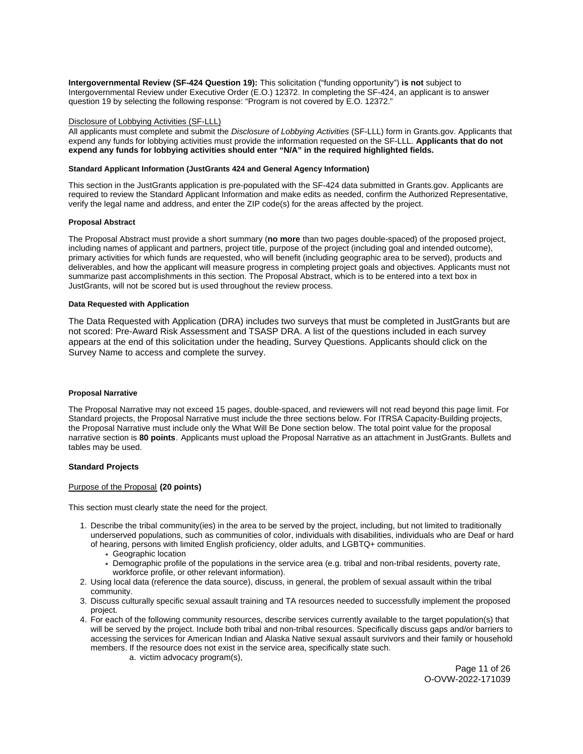<span id="page-10-0"></span>**Intergovernmental Review (SF-424 Question 19):** This solicitation ("funding opportunity") **is not** subject to Intergovernmental Review under Executive Order (E.O.) 12372. In completing the SF-424, an applicant is to answer question 19 by selecting the following response: "Program is not covered by E.O. 12372."

# Disclosure of Lobbying Activities (SF-LLL)

All applicants must complete and submit the Disclosure of Lobbying Activities (SF-LLL) form in [Grants.gov.](https://Grants.gov) Applicants that expend any funds for lobbying activities must provide the information requested on the SF-LLL. **Applicants that do not expend any funds for lobbying activities should enter "N/A" in the required highlighted fields.** 

#### **Standard Applicant Information (JustGrants 424 and General Agency Information)**

This section in the JustGrants application is pre-populated with the SF-424 data submitted in [Grants.gov](https://Grants.gov). Applicants are required to review the Standard Applicant Information and make edits as needed, confirm the Authorized Representative, verify the legal name and address, and enter the ZIP code(s) for the areas affected by the project.

#### **Proposal Abstract**

The Proposal Abstract must provide a short summary (**no more** than two pages double-spaced) of the proposed project, including names of applicant and partners, project title, purpose of the project (including goal and intended outcome), primary activities for which funds are requested, who will benefit (including geographic area to be served), products and deliverables, and how the applicant will measure progress in completing project goals and objectives. Applicants must not summarize past accomplishments in this section. The Proposal Abstract, which is to be entered into a text box in JustGrants, will not be scored but is used throughout the review process.

# **Data Requested with Application**

The Data Requested with Application (DRA) includes two surveys that must be completed in JustGrants but are not scored: Pre-Award Risk Assessment and TSASP DRA. A list of the questions included in each survey appears at the end of this solicitation under the heading, Survey Questions. Applicants should click on the Survey Name to access and complete the survey.

#### **Proposal Narrative**

The Proposal Narrative may not exceed 15 pages, double-spaced, and reviewers will not read beyond this page limit. For Standard projects, the Proposal Narrative must include the three sections below. For ITRSA Capacity-Building projects, the Proposal Narrative must include only the What Will Be Done section below. The total point value for the proposal narrative section is **80 points**. Applicants must upload the Proposal Narrative as an attachment in JustGrants. Bullets and tables may be used.

#### **Standard Projects**

# Purpose of the Proposal **(20 points)**

This section must clearly state the need for the project.

- 1. Describe the tribal community(ies) in the area to be served by the project, including, but not limited to traditionally underserved populations, such as communities of color, individuals with disabilities, individuals who are Deaf or hard of hearing, persons with limited English proficiency, older adults, and LGBTQ+ communities.
	- Geographic location
	- Demographic profile of the populations in the service area (e.g. tribal and non-tribal residents, poverty rate, workforce profile, or other relevant information).
- 2. Using local data (reference the data source), discuss, in general, the problem of sexual assault within the tribal community.
- 3. Discuss culturally specific sexual assault training and TA resources needed to successfully implement the proposed project.
- 4. For each of the following community resources, describe services currently available to the target population(s) that will be served by the project. Include both tribal and non-tribal resources. Specifically discuss gaps and/or barriers to accessing the services for American Indian and Alaska Native sexual assault survivors and their family or household members. If the resource does not exist in the service area, specifically state such.
	- a. victim advocacy program(s),

Page 11 of 26 O-OVW-2022-171039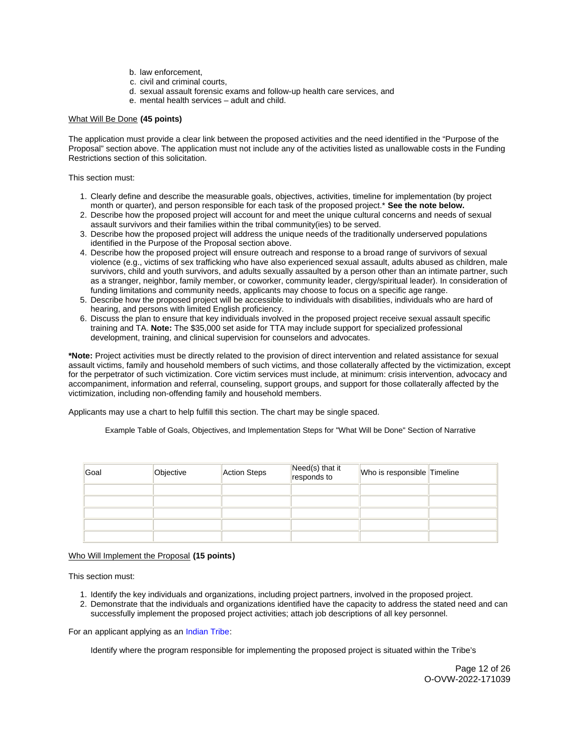- b. law enforcement,
- c. civil and criminal courts,
- d. sexual assault forensic exams and follow-up health care services, and
- e. mental health services adult and child.

# What Will Be Done **(45 points)**

The application must provide a clear link between the proposed activities and the need identified in the "Purpose of the Proposal" section above. The application must not include any of the activities listed as unallowable costs in the Funding Restrictions section of this solicitation.

This section must:

- 1. Clearly define and describe the measurable goals, objectives, activities, timeline for implementation (by project month or quarter), and person responsible for each task of the proposed project.\* **See the note below.**
- 2. Describe how the proposed project will account for and meet the unique cultural concerns and needs of sexual assault survivors and their families within the tribal community(ies) to be served.
- 3. Describe how the proposed project will address the unique needs of the traditionally underserved populations identified in the Purpose of the Proposal section above.
- 4. Describe how the proposed project will ensure outreach and response to a broad range of survivors of sexual violence (e.g., victims of sex trafficking who have also experienced sexual assault, adults abused as children, male survivors, child and youth survivors, and adults sexually assaulted by a person other than an intimate partner, such as a stranger, neighbor, family member, or coworker, community leader, clergy/spiritual leader). In consideration of funding limitations and community needs, applicants may choose to focus on a specific age range.
- 5. Describe how the proposed project will be accessible to individuals with disabilities, individuals who are hard of hearing, and persons with limited English proficiency.
- 6. Discuss the plan to ensure that key individuals involved in the proposed project receive sexual assault specific training and TA. **Note:** The \$35,000 set aside for TTA may include support for specialized professional development, training, and clinical supervision for counselors and advocates.

**\*Note:** Project activities must be directly related to the provision of direct intervention and related assistance for sexual assault victims, family and household members of such victims, and those collaterally affected by the victimization, except for the perpetrator of such victimization. Core victim services must include, at minimum: crisis intervention, advocacy and accompaniment, information and referral, counseling, support groups, and support for those collaterally affected by the victimization, including non-offending family and household members.

Applicants may use a chart to help fulfill this section. The chart may be single spaced.

Example Table of Goals, Objectives, and Implementation Steps for "What Will be Done" Section of Narrative

| Goal | Objective | Action Steps | Need(s) that it<br>responds to | Who is responsible Timeline |  |
|------|-----------|--------------|--------------------------------|-----------------------------|--|
|      |           |              |                                |                             |  |
|      |           |              |                                |                             |  |
|      |           |              |                                |                             |  |
|      |           |              |                                |                             |  |
|      |           |              |                                |                             |  |

# Who Will Implement the Proposal **(15 points)**

This section must:

- 1. Identify the key individuals and organizations, including project partners, involved in the proposed project.
- 2. Demonstrate that the individuals and organizations identified have the capacity to address the stated need and can successfully implement the proposed project activities; attach job descriptions of all key personnel.

For an applicant applying as an [Indian Tribe:](#EligibleApplicants)

Identify where the program responsible for implementing the proposed project is situated within the Tribe's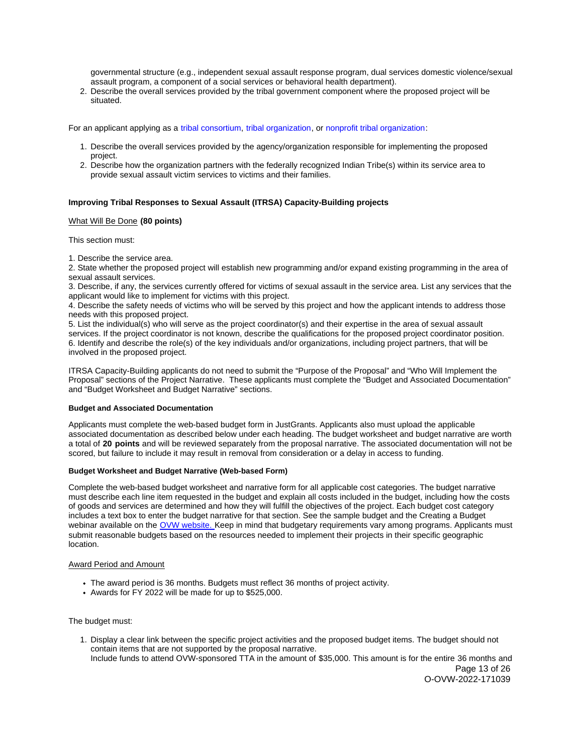<span id="page-12-0"></span>governmental structure (e.g., independent sexual assault response program, dual services domestic violence/sexual assault program, a component of a social services or behavioral health department).

2. Describe the overall services provided by the tribal government component where the proposed project will be situated.

For an applicant applying as a [tribal consortium,](#TribalConsortium) [tribal organization,](#TribalOrganization) or [nonprofit tribal organization:](#NonprofitTribalOrganization)

- 1. Describe the overall services provided by the agency/organization responsible for implementing the proposed project.
- 2. Describe how the organization partners with the federally recognized Indian Tribe(s) within its service area to provide sexual assault victim services to victims and their families.

# **Improving Tribal Responses to Sexual Assault (ITRSA) Capacity-Building projects**

#### What Will Be Done **(80 points)**

This section must:

1. Describe the service area.

2. State whether the proposed project will establish new programming and/or expand existing programming in the area of sexual assault services.

3. Describe, if any, the services currently offered for victims of sexual assault in the service area. List any services that the applicant would like to implement for victims with this project.

4. Describe the safety needs of victims who will be served by this project and how the applicant intends to address those needs with this proposed project.

5. List the individual(s) who will serve as the project coordinator(s) and their expertise in the area of sexual assault services. If the project coordinator is not known, describe the qualifications for the proposed project coordinator position. 6. Identify and describe the role(s) of the key individuals and/or organizations, including project partners, that will be involved in the proposed project.

ITRSA Capacity-Building applicants do not need to submit the "Purpose of the Proposal" and "Who Will Implement the Proposal" sections of the Project Narrative. These applicants must complete the "Budget and Associated Documentation" and "Budget Worksheet and Budget Narrative" sections.

#### **Budget and Associated Documentation**

Applicants must complete the web-based budget form in JustGrants. Applicants also must upload the applicable associated documentation as described below under each heading. The budget worksheet and budget narrative are worth a total of **20 points** and will be reviewed separately from the proposal narrative. The associated documentation will not be scored, but failure to include it may result in removal from consideration or a delay in access to funding.

# **Budget Worksheet and Budget Narrative (Web-based Form)**

Complete the web-based budget worksheet and narrative form for all applicable cost categories. The budget narrative must describe each line item requested in the budget and explain all costs included in the budget, including how the costs of goods and services are determined and how they will fulfill the objectives of the project. Each budget cost category includes a text box to enter the budget narrative for that section. See the sample budget and the Creating a Budget webinar available on the [OVW website.](https://www.justice.gov/ovw/resources-applicants) Keep in mind that budgetary requirements vary among programs. Applicants must submit reasonable budgets based on the resources needed to implement their projects in their specific geographic location.

# Award Period and Amount

- The award period is 36 months. Budgets must reflect 36 months of project activity.
- Awards for FY 2022 will be made for up to \$525,000.

The budget must:

1. Display a clear link between the specific project activities and the proposed budget items. The budget should not contain items that are not supported by the proposal narrative. Include funds to attend OVW-sponsored TTA in the amount of \$35,000. This amount is for the entire 36 months and

Page 13 of 26 O-OVW-2022-171039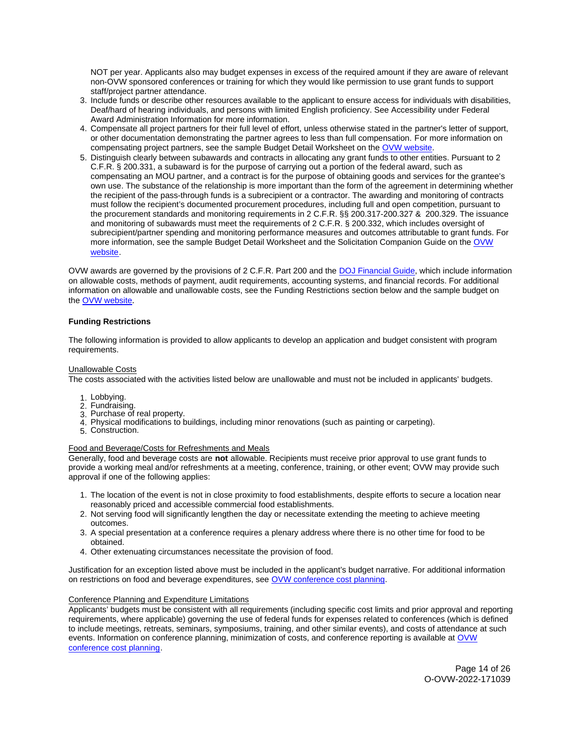NOT per year. Applicants also may budget expenses in excess of the required amount if they are aware of relevant non-OVW sponsored conferences or training for which they would like permission to use grant funds to support staff/project partner attendance.

- 3. Include funds or describe other resources available to the applicant to ensure access for individuals with disabilities, Deaf/hard of hearing individuals, and persons with limited English proficiency. See Accessibility under Federal Award Administration Information for more information.
- 4. Compensate all project partners for their full level of effort, unless otherwise stated in the partner's letter of support, or other documentation demonstrating the partner agrees to less than full compensation. For more information on compensating project partners, see the sample Budget Detail Worksheet on the [OVW website.](https://www.justice.gov/ovw/resources-applicants)
- 5. Distinguish clearly between subawards and contracts in allocating any grant funds to other entities. Pursuant to 2 C.F.R. § 200.331, a subaward is for the purpose of carrying out a portion of the federal award, such as compensating an MOU partner, and a contract is for the purpose of obtaining goods and services for the grantee's own use. The substance of the relationship is more important than the form of the agreement in determining whether the recipient of the pass-through funds is a subrecipient or a contractor. The awarding and monitoring of contracts must follow the recipient's documented procurement procedures, including full and open competition, pursuant to the procurement standards and monitoring requirements in 2 C.F.R. §§ 200.317-200.327 & 200.329. The issuance and monitoring of subawards must meet the requirements of 2 C.F.R. § 200.332, which includes oversight of subrecipient/partner spending and monitoring performance measures and outcomes attributable to grant funds. For more information, see the sample Budget Detail Worksheet and the Solicitation Companion Guide on the [OVW](https://www.justice.gov/ovw/resources-applicants)  [website.](https://www.justice.gov/ovw/resources-applicants)

OVW awards are governed by the provisions of 2 C.F.R. Part 200 and the [DOJ Financial Guide,](https://www.justice.gov/ovw/file/1030311/download) which include information on allowable costs, methods of payment, audit requirements, accounting systems, and financial records. For additional information on allowable and unallowable costs, see the Funding Restrictions section below and the sample budget on the [OVW website](https://www.justice.gov/ovw/resources-applicants).

# **Funding Restrictions**

The following information is provided to allow applicants to develop an application and budget consistent with program requirements.

# Unallowable Costs

The costs associated with the activities listed below are unallowable and must not be included in applicants' budgets.

- 1. Lobbying.
- 2. Fundraising.
- 3. Purchase of real property.
- 4. Physical modifications to buildings, including minor renovations (such as painting or carpeting).
- 5. Construction.

# Food and Beverage/Costs for Refreshments and Meals

Generally, food and beverage costs are **not** allowable. Recipients must receive prior approval to use grant funds to provide a working meal and/or refreshments at a meeting, conference, training, or other event; OVW may provide such approval if one of the following applies:

- 1. The location of the event is not in close proximity to food establishments, despite efforts to secure a location near reasonably priced and accessible commercial food establishments.
- 2. Not serving food will significantly lengthen the day or necessitate extending the meeting to achieve meeting outcomes.
- 3. A special presentation at a conference requires a plenary address where there is no other time for food to be obtained.
- 4. Other extenuating circumstances necessitate the provision of food.

Justification for an exception listed above must be included in the applicant's budget narrative. For additional information on restrictions on food and beverage expenditures, see [OVW conference cost planning.](https://www.justice.gov/ovw/conference-planning)

# Conference Planning and Expenditure Limitations

Applicants' budgets must be consistent with all requirements (including specific cost limits and prior approval and reporting requirements, where applicable) governing the use of federal funds for expenses related to conferences (which is defined to include meetings, retreats, seminars, symposiums, training, and other similar events), and costs of attendance at such events. Information on conference planning, minimization of costs, and conference reporting is available at [OVW](https://www.justice.gov/ovw/conference-planning)  [conference cost planning.](https://www.justice.gov/ovw/conference-planning)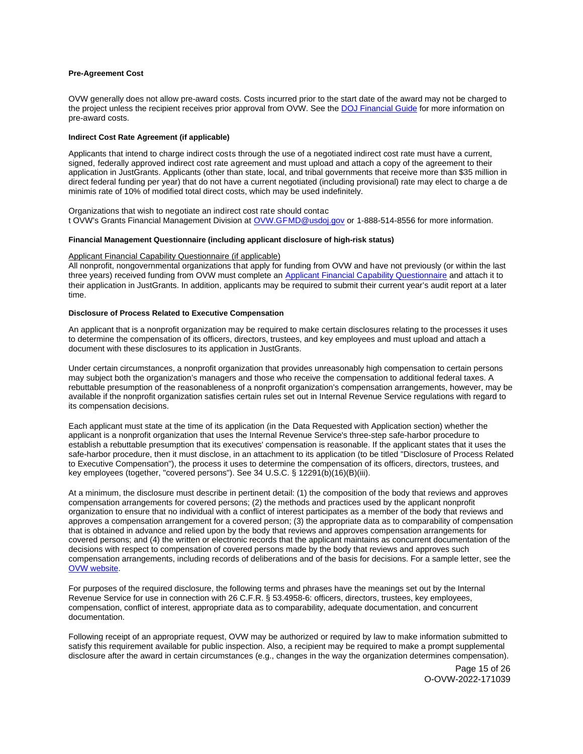# <span id="page-14-0"></span>**Pre-Agreement Cost**

OVW generally does not allow pre-award costs. Costs incurred prior to the start date of the award may not be charged to the project unless the recipient receives prior approval from OVW. See the [DOJ Financial Guide](https://www.justice.gov/ovw/file/1030311/download) for more information on pre-award costs.

# **Indirect Cost Rate Agreement (if applicable)**

Applicants that intend to charge indirect costs through the use of a negotiated indirect cost rate must have a current, signed, federally approved indirect cost rate agreement and must upload and attach a copy of the agreement to their application in JustGrants. Applicants (other than state, local, and tribal governments that receive more than \$35 million in direct federal funding per year) that do not have a current negotiated (including provisional) rate may elect to charge a de minimis rate of 10% of modified total direct costs, which may be used indefinitely.

Organizations that wish to negotiate an indirect cost rate should contac t OVW's Grants Financial Management Division at [OVW.GFMD@usdoj.gov](mailto:OVW.GFMD@usdoj.gov) or 1-888-514-8556 for more information.

# **Financial Management Questionnaire (including applicant disclosure of high-risk status)**

### Applicant Financial Capability Questionnaire (if applicable)

All nonprofit, nongovernmental organizations that apply for funding from OVW and have not previously (or within the last three years) received funding from OVW must complete an [Applicant Financial Capability Questionnaire](https://www.justice.gov/ovw/file/866126/download) and attach it to their application in JustGrants. In addition, applicants may be required to submit their current year's audit report at a later time.

# **Disclosure of Process Related to Executive Compensation**

An applicant that is a nonprofit organization may be required to make certain disclosures relating to the processes it uses to determine the compensation of its officers, directors, trustees, and key employees and must upload and attach a document with these disclosures to its application in JustGrants.

Under certain circumstances, a nonprofit organization that provides unreasonably high compensation to certain persons may subject both the organization's managers and those who receive the compensation to additional federal taxes. A rebuttable presumption of the reasonableness of a nonprofit organization's compensation arrangements, however, may be available if the nonprofit organization satisfies certain rules set out in Internal Revenue Service regulations with regard to its compensation decisions.

Each applicant must state at the time of its application (in the Data Requested with Application section) whether the applicant is a nonprofit organization that uses the Internal Revenue Service's three-step safe-harbor procedure to establish a rebuttable presumption that its executives' compensation is reasonable. If the applicant states that it uses the safe-harbor procedure, then it must disclose, in an attachment to its application (to be titled "Disclosure of Process Related to Executive Compensation"), the process it uses to determine the compensation of its officers, directors, trustees, and key employees (together, "covered persons"). See 34 U.S.C. § 12291(b)(16)(B)(iii).

At a minimum, the disclosure must describe in pertinent detail: (1) the composition of the body that reviews and approves compensation arrangements for covered persons; (2) the methods and practices used by the applicant nonprofit organization to ensure that no individual with a conflict of interest participates as a member of the body that reviews and approves a compensation arrangement for a covered person; (3) the appropriate data as to comparability of compensation that is obtained in advance and relied upon by the body that reviews and approves compensation arrangements for covered persons; and (4) the written or electronic records that the applicant maintains as concurrent documentation of the decisions with respect to compensation of covered persons made by the body that reviews and approves such compensation arrangements, including records of deliberations and of the basis for decisions. For a sample letter, see the [OVW website.](https://www.justice.gov/ovw/resources-applicants)

For purposes of the required disclosure, the following terms and phrases have the meanings set out by the Internal Revenue Service for use in connection with 26 C.F.R. § 53.4958-6: officers, directors, trustees, key employees, compensation, conflict of interest, appropriate data as to comparability, adequate documentation, and concurrent documentation.

Following receipt of an appropriate request, OVW may be authorized or required by law to make information submitted to satisfy this requirement available for public inspection. Also, a recipient may be required to make a prompt supplemental disclosure after the award in certain circumstances (e.g., changes in the way the organization determines compensation).

> Page 15 of 26 O-OVW-2022-171039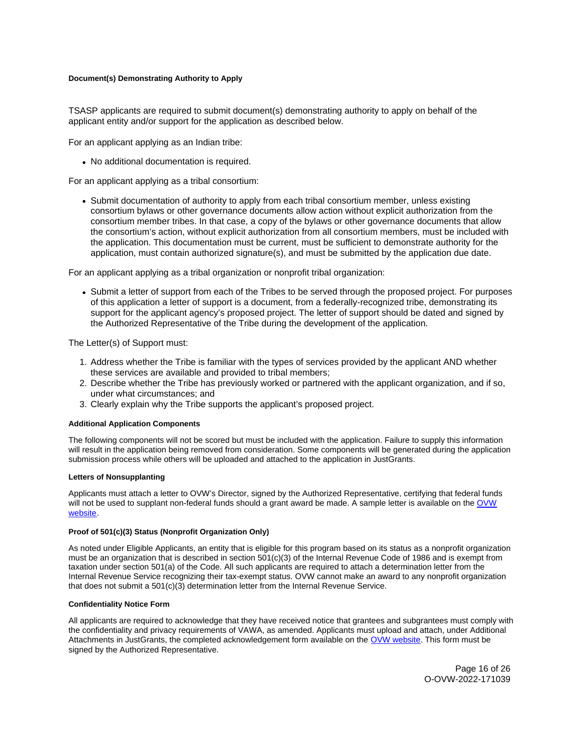# <span id="page-15-0"></span>**Document(s) Demonstrating Authority to Apply**

TSASP applicants are required to submit document(s) demonstrating authority to apply on behalf of the applicant entity and/or support for the application as described below.

For an applicant applying as an Indian tribe:

No additional documentation is required.

For an applicant applying as a tribal consortium:

Submit documentation of authority to apply from each tribal consortium member, unless existing consortium bylaws or other governance documents allow action without explicit authorization from the consortium member tribes. In that case, a copy of the bylaws or other governance documents that allow the consortium's action, without explicit authorization from all consortium members, must be included with the application. This documentation must be current, must be sufficient to demonstrate authority for the application, must contain authorized signature(s), and must be submitted by the application due date.

For an applicant applying as a tribal organization or nonprofit tribal organization:

Submit a letter of support from each of the Tribes to be served through the proposed project. For purposes of this application a letter of support is a document, from a federally-recognized tribe, demonstrating its support for the applicant agency's proposed project. The letter of support should be dated and signed by the Authorized Representative of the Tribe during the development of the application.

The Letter(s) of Support must:

- 1. Address whether the Tribe is familiar with the types of services provided by the applicant AND whether these services are available and provided to tribal members;
- 2. Describe whether the Tribe has previously worked or partnered with the applicant organization, and if so, under what circumstances; and
- 3. Clearly explain why the Tribe supports the applicant's proposed project.

# **Additional Application Components**

The following components will not be scored but must be included with the application. Failure to supply this information will result in the application being removed from consideration. Some components will be generated during the application submission process while others will be uploaded and attached to the application in JustGrants.

# **Letters of Nonsupplanting**

Applicants must attach a letter to OVW's Director, signed by the Authorized Representative, certifying that federal funds will not be used to supplant non-federal funds should a grant award be made. A sample letter is available on the OVW [website.](https://www.justice.gov/ovw/resources-applicants)

# **Proof of 501(c)(3) Status (Nonprofit Organization Only)**

As noted under Eligible Applicants, an entity that is eligible for this program based on its status as a nonprofit organization must be an organization that is described in section 501(c)(3) of the Internal Revenue Code of 1986 and is exempt from taxation under section 501(a) of the Code. All such applicants are required to attach a determination letter from the Internal Revenue Service recognizing their tax-exempt status. OVW cannot make an award to any nonprofit organization that does not submit a 501(c)(3) determination letter from the Internal Revenue Service.

# **Confidentiality Notice Form**

All applicants are required to acknowledge that they have received notice that grantees and subgrantees must comply with the confidentiality and privacy requirements of VAWA, as amended. Applicants must upload and attach, under Additional Attachments in JustGrants, the completed acknowledgement form available on the [OVW website.](http://www.justice.gov/sites/default/files/ovw/pages/attachments/2015/01/20/confidentiality_acknowledgement_form_42015.pdf) This form must be signed by the Authorized Representative.

> Page 16 of 26 O-OVW-2022-171039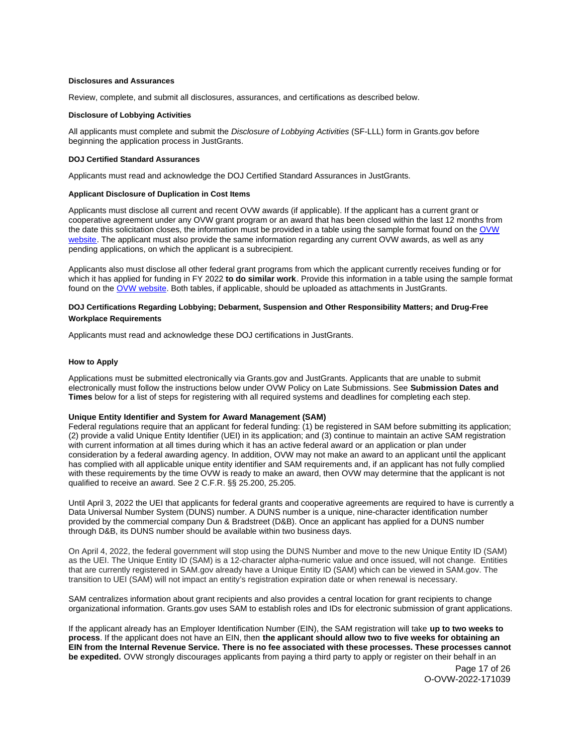#### <span id="page-16-0"></span>**Disclosures and Assurances**

Review, complete, and submit all disclosures, assurances, and certifications as described below.

#### **Disclosure of Lobbying Activities**

All applicants must complete and submit the Disclosure of Lobbying Activities (SF-LLL) form in [Grants.gov](https://Grants.gov) before beginning the application process in JustGrants.

# **DOJ Certified Standard Assurances**

Applicants must read and acknowledge the DOJ Certified Standard Assurances in JustGrants.

# **Applicant Disclosure of Duplication in Cost Items**

Applicants must disclose all current and recent OVW awards (if applicable). If the applicant has a current grant or cooperative agreement under any OVW grant program or an award that has been closed within the last 12 months from the date this solicitation closes, the information must be provided in a table using the sample format found on the [OVW](https://www.justice.gov/ovw/resources-applicants)  [website.](https://www.justice.gov/ovw/resources-applicants) The applicant must also provide the same information regarding any current OVW awards, as well as any pending applications, on which the applicant is a subrecipient.

Applicants also must disclose all other federal grant programs from which the applicant currently receives funding or for which it has applied for funding in FY 2022 **to do similar work**. Provide this information in a table using the sample format found on the [OVW website.](https://www.justice.gov/ovw/resources-applicants) Both tables, if applicable, should be uploaded as attachments in JustGrants.

# **DOJ Certifications Regarding Lobbying; Debarment, Suspension and Other Responsibility Matters; and Drug-Free Workplace Requirements**

Applicants must read and acknowledge these DOJ certifications in JustGrants.

#### **How to Apply**

Applications must be submitted electronically via [Grants.gov](https://Grants.gov) and JustGrants. Applicants that are unable to submit electronically must follow the instructions below under OVW Policy on Late Submissions. See **Submission Dates and Times** below for a list of steps for registering with all required systems and deadlines for completing each step.

#### **Unique Entity Identifier and System for Award Management (SAM)**

Federal regulations require that an applicant for federal funding: (1) be registered in SAM before submitting its application; (2) provide a valid Unique Entity Identifier (UEI) in its application; and (3) continue to maintain an active SAM registration with current information at all times during which it has an active federal award or an application or plan under consideration by a federal awarding agency. In addition, OVW may not make an award to an applicant until the applicant has complied with all applicable unique entity identifier and SAM requirements and, if an applicant has not fully complied with these requirements by the time OVW is ready to make an award, then OVW may determine that the applicant is not qualified to receive an award. See 2 C.F.R. §§ 25.200, 25.205.

Until April 3, 2022 the UEI that applicants for federal grants and cooperative agreements are required to have is currently a Data Universal Number System (DUNS) number. A DUNS number is a unique, nine-character identification number provided by the commercial company Dun & Bradstreet (D&B). Once an applicant has applied for a DUNS number through D&B, its DUNS number should be available within two business days.

On April 4, 2022, the federal government will stop using the DUNS Number and move to the new Unique Entity ID (SAM) as the UEI. The Unique Entity ID (SAM) is a 12-character alpha-numeric value and once issued, will not change. Entities that are currently registered in SAM.gov already have a Unique Entity ID (SAM) which can be viewed in SAM.gov. The transition to UEI (SAM) will not impact an entity's registration expiration date or when renewal is necessary.

SAM centralizes information about grant recipients and also provides a central location for grant recipients to change organizational information. [Grants.gov](https://Grants.gov) uses SAM to establish roles and IDs for electronic submission of grant applications.

If the applicant already has an Employer Identification Number (EIN), the SAM registration will take **up to two weeks to process**. If the applicant does not have an EIN, then **the applicant should allow two to five weeks for obtaining an EIN from the Internal Revenue Service. There is no fee associated with these processes. These processes cannot be expedited.** OVW strongly discourages applicants from paying a third party to apply or register on their behalf in an

> Page 17 of 26 O-OVW-2022-171039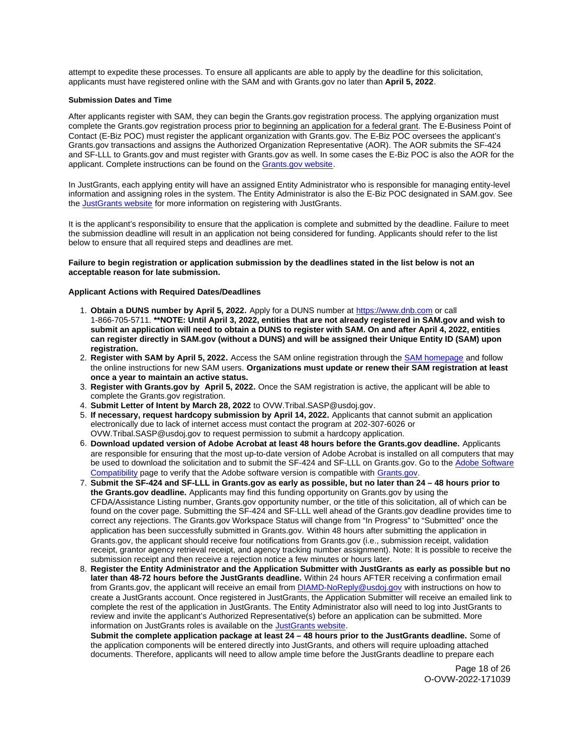<span id="page-17-0"></span>attempt to expedite these processes. To ensure all applicants are able to apply by the deadline for this solicitation, applicants must have registered online with the SAM and with [Grants.gov](https://Grants.gov) no later than **April 5, 2022**.

# **Submission Dates and Time**

After applicants register with SAM, they can begin the [Grants.gov](https://Grants.gov) registration process. The applying organization must complete the [Grants.gov](https://Grants.gov) registration process prior to beginning an application for a federal grant. The E-Business Point of Contact (E-Biz POC) must register the applicant organization with [Grants.gov](https://Grants.gov). The E-Biz POC oversees the applicant's [Grants.gov](https://Grants.gov) transactions and assigns the Authorized Organization Representative (AOR). The AOR submits the SF-424 and SF-LLL to [Grants.gov](https://Grants.gov) and must register with [Grants.gov](https://Grants.gov) as well. In some cases the E-Biz POC is also the AOR for the applicant. Complete instructions can be found on the [Grants.gov website.](https://www.grants.gov/web/grants/applicants/registration.html)

In JustGrants, each applying entity will have an assigned Entity Administrator who is responsible for managing entity-level information and assigning roles in the system. The Entity Administrator is also the E-Biz POC designated in SAM.gov. See the [JustGrants website](https://justicegrants.usdoj.gov/) for more information on registering with JustGrants.

It is the applicant's responsibility to ensure that the application is complete and submitted by the deadline. Failure to meet the submission deadline will result in an application not being considered for funding. Applicants should refer to the list below to ensure that all required steps and deadlines are met.

# **Failure to begin registration or application submission by the deadlines stated in the list below is not an acceptable reason for late submission.**

# **Applicant Actions with Required Dates/Deadlines**

- 1. **Obtain a DUNS number by April 5, 2022.** Apply for a DUNS number at <https://www.dnb.com>or call 1-866-705-5711. **\*\*NOTE: Until April 3, 2022, entities that are not already registered in SAM.gov and wish to submit an application will need to obtain a DUNS to register with SAM. On and after April 4, 2022, entities can register directly in SAM.gov (without a DUNS) and will be assigned their Unique Entity ID (SAM) upon registration.**
- 2. **Register with SAM by April 5, 2022.** Access the SAM online registration through the [SAM homepage](https://sam.gov/SAM/) and follow the online instructions for new SAM users. **Organizations must update or renew their SAM registration at least once a year to maintain an active status.**
- 3. **Register with [Grants.gov](https://Grants.gov) by April 5, 2022.** Once the SAM registration is active, the applicant will be able to complete the [Grants.gov](https://Grants.gov) registration.
- 4. **Submit Letter of Intent by March 28, 2022** to [OVW.Tribal.SASP@usdoj.gov](mailto:OVW.Tribal.SASP@usdoj.gov).
- 5. **If necessary, request hardcopy submission by April 14, 2022.** Applicants that cannot submit an application electronically due to lack of internet access must contact the program at 202-307-6026 or [OVW.Tribal.SASP@usdoj.gov](mailto:OVW.Tribal.SASP@usdoj.gov) to request permission to submit a hardcopy application.
- 6. **Download updated version of Adobe Acrobat at least 48 hours before the [Grants.gov](https://Grants.gov) deadline.** Applicants are responsible for ensuring that the most up-to-date version of Adobe Acrobat is installed on all computers that may be used to download the solicitation and to submit the SF-424 and SF-LLL on [Grants.gov](https://Grants.gov). Go to the [Adobe Software](https://www.grants.gov/web/grants/applicants/adobe-software-compatibility.html)  [Compatibility](https://www.grants.gov/web/grants/applicants/adobe-software-compatibility.html) page to verify that the Adobe software version is compatible with [Grants.gov.](http://www.grants.gov)
- 7. **Submit the SF-424 and SF-LLL in [Grants.gov](https://Grants.gov) as early as possible, but no later than 24 48 hours prior to the [Grants.gov](https://Grants.gov) deadline.** Applicants may find this funding opportunity on [Grants.gov](https://Grants.gov) by using the CFDA/Assistance Listing number, [Grants.gov](https://Grants.gov) opportunity number, or the title of this solicitation, all of which can be found on the cover page. Submitting the SF-424 and SF-LLL well ahead of the [Grants.gov](https://Grants.gov) deadline provides time to correct any rejections. The [Grants.gov](https://Grants.gov) Workspace Status will change from "In Progress" to "Submitted" once the application has been successfully submitted in [Grants.gov.](https://Grants.gov) Within 48 hours after submitting the application in [Grants.gov,](https://Grants.gov) the applicant should receive four notifications from [Grants.gov](https://Grants.gov) (i.e., submission receipt, validation receipt, grantor agency retrieval receipt, and agency tracking number assignment). Note: It is possible to receive the submission receipt and then receive a rejection notice a few minutes or hours later.
- 8. **Register the Entity Administrator and the Application Submitter with JustGrants as early as possible but no later than 48-72 hours before the JustGrants deadline.** Within 24 hours AFTER receiving a confirmation email from [Grants.gov](https://Grants.gov), the applicant will receive an email from [DIAMD-NoReply@usdoj.gov](mailto:DIAMD-NoReply@usdoj.gov) with instructions on how to create a JustGrants account. Once registered in JustGrants, the Application Submitter will receive an emailed link to complete the rest of the application in JustGrants. The Entity Administrator also will need to log into JustGrants to review and invite the applicant's Authorized Representative(s) before an application can be submitted. More information on JustGrants roles is available on the [JustGrants website.](https://justicegrants.usdoj.gov/getting-started#secureOnboarding)

**Submit the complete application package at least 24 – 48 hours prior to the JustGrants deadline.** Some of the application components will be entered directly into JustGrants, and others will require uploading attached documents. Therefore, applicants will need to allow ample time before the JustGrants deadline to prepare each

> Page 18 of 26 O-OVW-2022-171039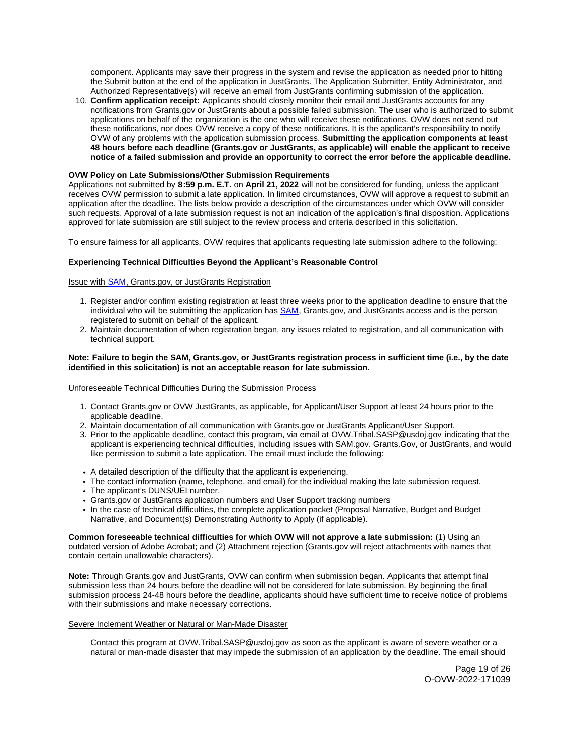component. Applicants may save their progress in the system and revise the application as needed prior to hitting the Submit button at the end of the application in JustGrants. The Application Submitter, Entity Administrator, and Authorized Representative(s) will receive an email from JustGrants confirming submission of the application.

10. **Confirm application receipt:** Applicants should closely monitor their email and JustGrants accounts for any notifications from [Grants.gov](https://Grants.gov) or JustGrants about a possible failed submission. The user who is authorized to submit applications on behalf of the organization is the one who will receive these notifications. OVW does not send out these notifications, nor does OVW receive a copy of these notifications. It is the applicant's responsibility to notify OVW of any problems with the application submission process. **Submitting the application components at least 48 hours before each deadline ([Grants.gov](https://Grants.gov) or JustGrants, as applicable) will enable the applicant to receive notice of a failed submission and provide an opportunity to correct the error before the applicable deadline.** 

# **OVW Policy on Late Submissions/Other Submission Requirements**

Applications not submitted by **8:59 p.m. E.T.** on **April 21, 2022** will not be considered for funding, unless the applicant receives OVW permission to submit a late application. In limited circumstances, OVW will approve a request to submit an application after the deadline. The lists below provide a description of the circumstances under which OVW will consider such requests. Approval of a late submission request is not an indication of the application's final disposition. Applications approved for late submission are still subject to the review process and criteria described in this solicitation.

To ensure fairness for all applicants, OVW requires that applicants requesting late submission adhere to the following:

# **Experiencing Technical Difficulties Beyond the Applicant's Reasonable Control**

# Issue with SAM, [Grants.gov,](https://Grants.gov) or JustGrants Registration

- 1. Register and/or confirm existing registration at least three weeks prior to the application deadline to ensure that the individual who will be submitting the application has [SAM,](https://www.sam.gov/portal/SAM/#1) [Grants.gov,](https://Grants.gov) and JustGrants access and is the person registered to submit on behalf of the applicant.
- 2. Maintain documentation of when registration began, any issues related to registration, and all communication with technical support.

# **Note: Failure to begin the SAM, [Grants.gov,](https://Grants.gov) or JustGrants registration process in sufficient time (i.e., by the date identified in this solicitation) is not an acceptable reason for late submission.**

# Unforeseeable Technical Difficulties During the Submission Process

- 1. Contact [Grants.gov](https://Grants.gov) or OVW JustGrants, as applicable, for Applicant/User Support at least 24 hours prior to the applicable deadline.
- 2. Maintain documentation of all communication with [Grants.gov](https://Grants.gov) or JustGrants Applicant/User Support.
- 3. Prior to the applicable deadline, contact this program, via email at [OVW.Tribal.SASP@usdoj.gov](mailto:OVW.Tribal.SASP@usdoj.gov) indicating that the applicant is experiencing technical difficulties, including issues with SAM.gov. [Grants.Gov](https://Grants.Gov), or JustGrants, and would like permission to submit a late application. The email must include the following:
- A detailed description of the difficulty that the applicant is experiencing.
- The contact information (name, telephone, and email) for the individual making the late submission request.
- The applicant's DUNS/UEI number.
- [Grants.gov](https://Grants.gov) or JustGrants application numbers and User Support tracking numbers
- In the case of technical difficulties, the complete application packet (Proposal Narrative, Budget and Budget Narrative, and Document(s) Demonstrating Authority to Apply (if applicable).

**Common foreseeable technical difficulties for which OVW will not approve a late submission:** (1) Using an outdated version of Adobe Acrobat; and (2) Attachment rejection [\(Grants.gov](https://Grants.gov) will reject attachments with names that contain certain unallowable characters).

**Note:** Through [Grants.gov](https://Grants.gov) and JustGrants, OVW can confirm when submission began. Applicants that attempt final submission less than 24 hours before the deadline will not be considered for late submission. By beginning the final submission process 24-48 hours before the deadline, applicants should have sufficient time to receive notice of problems with their submissions and make necessary corrections.

# Severe Inclement Weather or Natural or Man-Made Disaster

Contact this program at [OVW.Tribal.SASP@usdoj.gov](mailto:OVW.Tribal.SASP@usdoj.gov) as soon as the applicant is aware of severe weather or a natural or man-made disaster that may impede the submission of an application by the deadline. The email should

> Page 19 of 26 O-OVW-2022-171039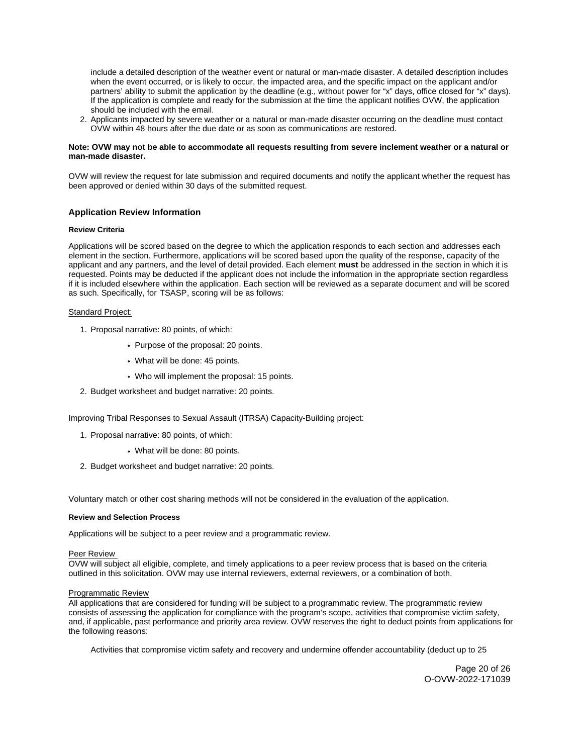<span id="page-19-0"></span>include a detailed description of the weather event or natural or man-made disaster. A detailed description includes when the event occurred, or is likely to occur, the impacted area, and the specific impact on the applicant and/or partners' ability to submit the application by the deadline (e.g., without power for "x" days, office closed for "x" days). If the application is complete and ready for the submission at the time the applicant notifies OVW, the application should be included with the email.

2. Applicants impacted by severe weather or a natural or man-made disaster occurring on the deadline must contact OVW within 48 hours after the due date or as soon as communications are restored.

# **Note: OVW may not be able to accommodate all requests resulting from severe inclement weather or a natural or man-made disaster.**

OVW will review the request for late submission and required documents and notify the applicant whether the request has been approved or denied within 30 days of the submitted request.

# **Application Review Information**

#### **Review Criteria**

Applications will be scored based on the degree to which the application responds to each section and addresses each element in the section. Furthermore, applications will be scored based upon the quality of the response, capacity of the applicant and any partners, and the level of detail provided. Each element **must** be addressed in the section in which it is requested. Points may be deducted if the applicant does not include the information in the appropriate section regardless if it is included elsewhere within the application. Each section will be reviewed as a separate document and will be scored as such. Specifically, for TSASP, scoring will be as follows:

# Standard Project:

- 1. Proposal narrative: 80 points, of which:
	- Purpose of the proposal: 20 points.
	- What will be done: 45 points.
	- Who will implement the proposal: 15 points.
- 2. Budget worksheet and budget narrative: 20 points.

Improving Tribal Responses to Sexual Assault (ITRSA) Capacity-Building project:

- 1. Proposal narrative: 80 points, of which:
	- What will be done: 80 points.
- 2. Budget worksheet and budget narrative: 20 points.

Voluntary match or other cost sharing methods will not be considered in the evaluation of the application.

#### **Review and Selection Process**

Applications will be subject to a peer review and a programmatic review.

#### Peer Review

OVW will subject all eligible, complete, and timely applications to a peer review process that is based on the criteria outlined in this solicitation. OVW may use internal reviewers, external reviewers, or a combination of both.

#### Programmatic Review

All applications that are considered for funding will be subject to a programmatic review. The programmatic review consists of assessing the application for compliance with the program's scope, activities that compromise victim safety, and, if applicable, past performance and priority area review. OVW reserves the right to deduct points from applications for the following reasons:

Activities that compromise victim safety and recovery and undermine offender accountability (deduct up to 25

Page 20 of 26 O-OVW-2022-171039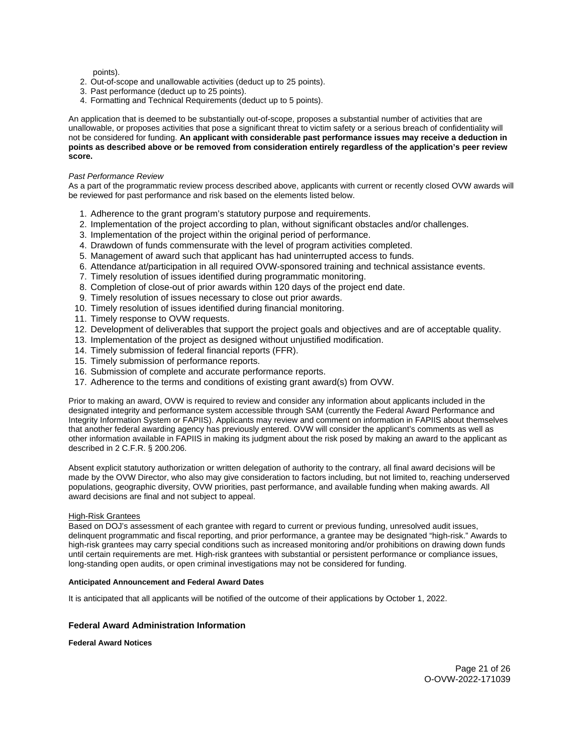points).

- <span id="page-20-0"></span>2. Out-of-scope and unallowable activities (deduct up to 25 points).
- 3. Past performance (deduct up to 25 points).
- 4. Formatting and Technical Requirements (deduct up to 5 points).

An application that is deemed to be substantially out-of-scope, proposes a substantial number of activities that are unallowable, or proposes activities that pose a significant threat to victim safety or a serious breach of confidentiality will not be considered for funding. **An applicant with considerable past performance issues may receive a deduction in points as described above or be removed from consideration entirely regardless of the application's peer review score.** 

# Past Performance Review

As a part of the programmatic review process described above, applicants with current or recently closed OVW awards will be reviewed for past performance and risk based on the elements listed below.

- 1. Adherence to the grant program's statutory purpose and requirements.
- 2. Implementation of the project according to plan, without significant obstacles and/or challenges.
- 3. Implementation of the project within the original period of performance.
- 4. Drawdown of funds commensurate with the level of program activities completed.
- 5. Management of award such that applicant has had uninterrupted access to funds.
- 6. Attendance at/participation in all required OVW-sponsored training and technical assistance events.
- 7. Timely resolution of issues identified during programmatic monitoring.
- 8. Completion of close-out of prior awards within 120 days of the project end date.
- 9. Timely resolution of issues necessary to close out prior awards.
- 10. Timely resolution of issues identified during financial monitoring.
- 11. Timely response to OVW requests.
- 12. Development of deliverables that support the project goals and objectives and are of acceptable quality.
- 13. Implementation of the project as designed without unjustified modification.
- 14. Timely submission of federal financial reports (FFR).
- 15. Timely submission of performance reports.
- 16. Submission of complete and accurate performance reports.
- 17. Adherence to the terms and conditions of existing grant award(s) from OVW.

Prior to making an award, OVW is required to review and consider any information about applicants included in the designated integrity and performance system accessible through SAM (currently the Federal Award Performance and Integrity Information System or FAPIIS). Applicants may review and comment on information in FAPIIS about themselves that another federal awarding agency has previously entered. OVW will consider the applicant's comments as well as other information available in FAPIIS in making its judgment about the risk posed by making an award to the applicant as described in 2 C.F.R. § 200.206.

Absent explicit statutory authorization or written delegation of authority to the contrary, all final award decisions will be made by the OVW Director, who also may give consideration to factors including, but not limited to, reaching underserved populations, geographic diversity, OVW priorities, past performance, and available funding when making awards. All award decisions are final and not subject to appeal.

# High-Risk Grantees

Based on DOJ's assessment of each grantee with regard to current or previous funding, unresolved audit issues, delinquent programmatic and fiscal reporting, and prior performance, a grantee may be designated "high-risk." Awards to high-risk grantees may carry special conditions such as increased monitoring and/or prohibitions on drawing down funds until certain requirements are met. High-risk grantees with substantial or persistent performance or compliance issues, long-standing open audits, or open criminal investigations may not be considered for funding.

# **Anticipated Announcement and Federal Award Dates**

It is anticipated that all applicants will be notified of the outcome of their applications by October 1, 2022.

# **Federal Award Administration Information**

**Federal Award Notices**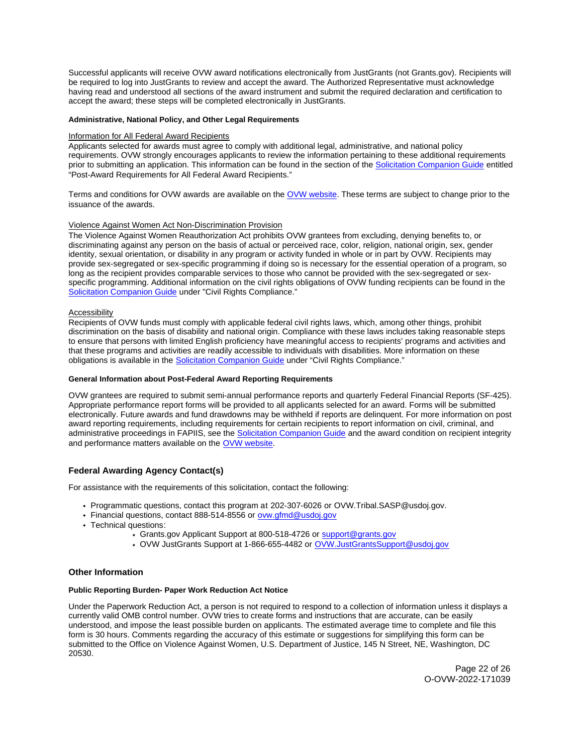<span id="page-21-0"></span>Successful applicants will receive OVW award notifications electronically from JustGrants (not [Grants.gov](https://Grants.gov)). Recipients will be required to log into JustGrants to review and accept the award. The Authorized Representative must acknowledge having read and understood all sections of the award instrument and submit the required declaration and certification to accept the award; these steps will be completed electronically in JustGrants.

# **Administrative, National Policy, and Other Legal Requirements**

# Information for All Federal Award Recipients

Applicants selected for awards must agree to comply with additional legal, administrative, and national policy requirements. OVW strongly encourages applicants to review the information pertaining to these additional requirements prior to submitting an application. This information can be found in the section of the [Solicitation Companion Guide](https://www.justice.gov/ovw/resources-applicants) entitled "Post-Award Requirements for All Federal Award Recipients."

Terms and conditions for OVW awards are available on the [OVW website.](https://www.justice.gov/ovw/award-conditions) These terms are subject to change prior to the issuance of the awards.

# Violence Against Women Act Non-Discrimination Provision

The Violence Against Women Reauthorization Act prohibits OVW grantees from excluding, denying benefits to, or discriminating against any person on the basis of actual or perceived race, color, religion, national origin, sex, gender identity, sexual orientation, or disability in any program or activity funded in whole or in part by OVW. Recipients may provide sex-segregated or sex-specific programming if doing so is necessary for the essential operation of a program, so long as the recipient provides comparable services to those who cannot be provided with the sex-segregated or sexspecific programming. Additional information on the civil rights obligations of OVW funding recipients can be found in the [Solicitation Companion Guide](https://www.justice.gov/ovw/resources-applicants) under "Civil Rights Compliance."

#### **Accessibility**

Recipients of OVW funds must comply with applicable federal civil rights laws, which, among other things, prohibit discrimination on the basis of disability and national origin. Compliance with these laws includes taking reasonable steps to ensure that persons with limited English proficiency have meaningful access to recipients' programs and activities and that these programs and activities are readily accessible to individuals with disabilities. More information on these obligations is available in the [Solicitation Companion Guide](https://www.justice.gov/ovw/resources-applicants) under "Civil Rights Compliance."

# **General Information about Post-Federal Award Reporting Requirements**

OVW grantees are required to submit semi-annual performance reports and quarterly Federal Financial Reports (SF-425). Appropriate performance report forms will be provided to all applicants selected for an award. Forms will be submitted electronically. Future awards and fund drawdowns may be withheld if reports are delinquent. For more information on post award reporting requirements, including requirements for certain recipients to report information on civil, criminal, and administrative proceedings in FAPIIS, see the [Solicitation Companion Guide](https://www.justice.gov/ovw/resources-applicants) and the award condition on recipient integrity and performance matters available on the [OVW website.](https://www.justice.gov/ovw/award-conditions)

# **Federal Awarding Agency Contact(s)**

For assistance with the requirements of this solicitation, contact the following:

- Programmatic questions, contact this program at 202-307-6026 or [OVW.Tribal.SASP@usdoj.gov.](mailto:OVW.Tribal.SASP@usdoj.gov)
- Financial questions, contact 888-514-8556 or ovw.gfmd@usdoj.gov
- Technical questions:
	- [Grants.gov](https://Grants.gov) Applicant Support at 800-518-4726 or support@grants.gov
	- OVW JustGrants Support at 1-866-655-4482 or OVW.JustGrantsSupport@usdoj.gov

# **Other Information**

#### **Public Reporting Burden- Paper Work Reduction Act Notice**

Under the Paperwork Reduction Act, a person is not required to respond to a collection of information unless it displays a currently valid OMB control number. OVW tries to create forms and instructions that are accurate, can be easily understood, and impose the least possible burden on applicants. The estimated average time to complete and file this form is 30 hours. Comments regarding the accuracy of this estimate or suggestions for simplifying this form can be submitted to the Office on Violence Against Women, U.S. Department of Justice, 145 N Street, NE, Washington, DC 20530.

> Page 22 of 26 O-OVW-2022-171039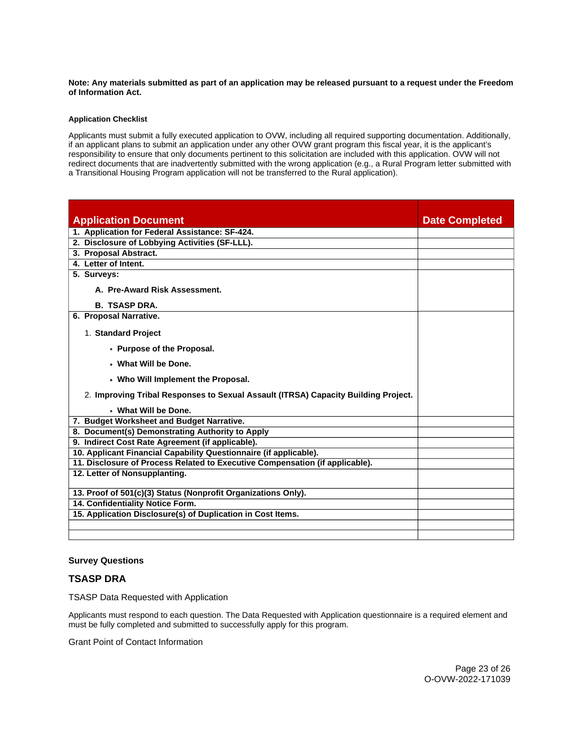# <span id="page-22-0"></span>**Note: Any materials submitted as part of an application may be released pursuant to a request under the Freedom of Information Act.**

# **Application Checklist**

Applicants must submit a fully executed application to OVW, including all required supporting documentation. Additionally, if an applicant plans to submit an application under any other OVW grant program this fiscal year, it is the applicant's responsibility to ensure that only documents pertinent to this solicitation are included with this application. OVW will not redirect documents that are inadvertently submitted with the wrong application (e.g., a Rural Program letter submitted with a Transitional Housing Program application will not be transferred to the Rural application).

| <b>Application Document</b>                                                        | <b>Date Completed</b> |
|------------------------------------------------------------------------------------|-----------------------|
| 1. Application for Federal Assistance: SF-424.                                     |                       |
| 2. Disclosure of Lobbying Activities (SF-LLL).                                     |                       |
| 3. Proposal Abstract.                                                              |                       |
| 4. Letter of Intent.                                                               |                       |
| 5. Surveys:                                                                        |                       |
| A. Pre-Award Risk Assessment.                                                      |                       |
| <b>B. TSASP DRA.</b>                                                               |                       |
| 6. Proposal Narrative.                                                             |                       |
| 1. Standard Project                                                                |                       |
| • Purpose of the Proposal.                                                         |                       |
| . What Will be Done.                                                               |                       |
| • Who Will Implement the Proposal.                                                 |                       |
| 2. Improving Tribal Responses to Sexual Assault (ITRSA) Capacity Building Project. |                       |
| . What Will be Done.                                                               |                       |
| 7. Budget Worksheet and Budget Narrative.                                          |                       |
| 8. Document(s) Demonstrating Authority to Apply                                    |                       |
| 9. Indirect Cost Rate Agreement (if applicable).                                   |                       |
| 10. Applicant Financial Capability Questionnaire (if applicable).                  |                       |
| 11. Disclosure of Process Related to Executive Compensation (if applicable).       |                       |
| 12. Letter of Nonsupplanting.                                                      |                       |
| 13. Proof of 501(c)(3) Status (Nonprofit Organizations Only).                      |                       |
| 14. Confidentiality Notice Form.                                                   |                       |
| 15. Application Disclosure(s) of Duplication in Cost Items.                        |                       |
|                                                                                    |                       |
|                                                                                    |                       |

# **Survey Questions**

# **TSASP DRA**

TSASP Data Requested with Application

Applicants must respond to each question. The Data Requested with Application questionnaire is a required element and must be fully completed and submitted to successfully apply for this program.

Grant Point of Contact Information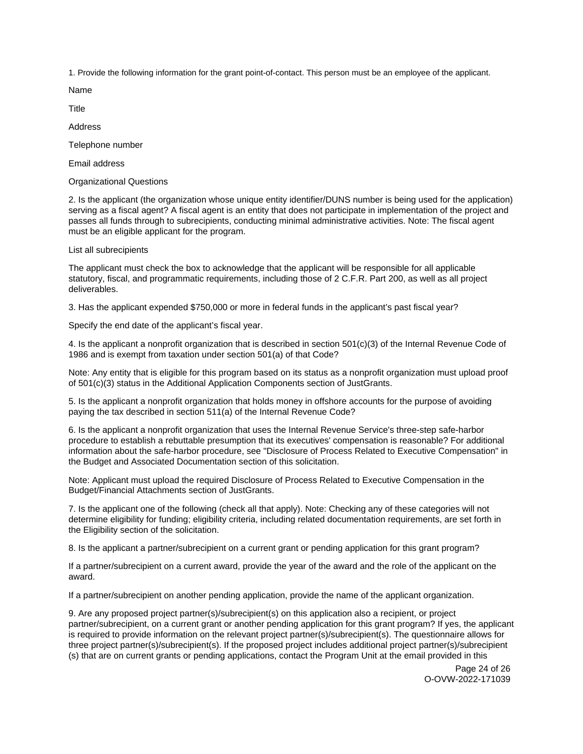1. Provide the following information for the grant point-of-contact. This person must be an employee of the applicant.

Name

Title

Address

Telephone number

Email address

Organizational Questions

2. Is the applicant (the organization whose unique entity identifier/DUNS number is being used for the application) serving as a fiscal agent? A fiscal agent is an entity that does not participate in implementation of the project and passes all funds through to subrecipients, conducting minimal administrative activities. Note: The fiscal agent must be an eligible applicant for the program.

List all subrecipients

The applicant must check the box to acknowledge that the applicant will be responsible for all applicable statutory, fiscal, and programmatic requirements, including those of 2 C.F.R. Part 200, as well as all project deliverables.

3. Has the applicant expended \$750,000 or more in federal funds in the applicant's past fiscal year?

Specify the end date of the applicant's fiscal year.

4. Is the applicant a nonprofit organization that is described in section 501(c)(3) of the Internal Revenue Code of 1986 and is exempt from taxation under section 501(a) of that Code?

Note: Any entity that is eligible for this program based on its status as a nonprofit organization must upload proof of 501(c)(3) status in the Additional Application Components section of JustGrants.

5. Is the applicant a nonprofit organization that holds money in offshore accounts for the purpose of avoiding paying the tax described in section 511(a) of the Internal Revenue Code?

6. Is the applicant a nonprofit organization that uses the Internal Revenue Service's three-step safe-harbor procedure to establish a rebuttable presumption that its executives' compensation is reasonable? For additional information about the safe-harbor procedure, see "Disclosure of Process Related to Executive Compensation" in the Budget and Associated Documentation section of this solicitation.

Note: Applicant must upload the required Disclosure of Process Related to Executive Compensation in the Budget/Financial Attachments section of JustGrants.

7. Is the applicant one of the following (check all that apply). Note: Checking any of these categories will not determine eligibility for funding; eligibility criteria, including related documentation requirements, are set forth in the Eligibility section of the solicitation.

8. Is the applicant a partner/subrecipient on a current grant or pending application for this grant program?

If a partner/subrecipient on a current award, provide the year of the award and the role of the applicant on the award.

If a partner/subrecipient on another pending application, provide the name of the applicant organization.

9. Are any proposed project partner(s)/subrecipient(s) on this application also a recipient, or project partner/subrecipient, on a current grant or another pending application for this grant program? If yes, the applicant is required to provide information on the relevant project partner(s)/subrecipient(s). The questionnaire allows for three project partner(s)/subrecipient(s). If the proposed project includes additional project partner(s)/subrecipient (s) that are on current grants or pending applications, contact the Program Unit at the email provided in this

> Page 24 of 26 O-OVW-2022-171039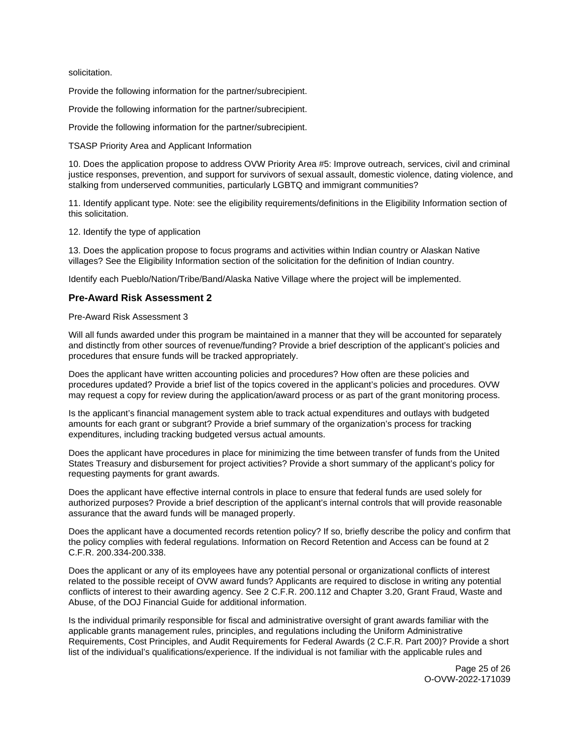solicitation.

Provide the following information for the partner/subrecipient.

Provide the following information for the partner/subrecipient.

Provide the following information for the partner/subrecipient.

TSASP Priority Area and Applicant Information

10. Does the application propose to address OVW Priority Area #5: Improve outreach, services, civil and criminal justice responses, prevention, and support for survivors of sexual assault, domestic violence, dating violence, and stalking from underserved communities, particularly LGBTQ and immigrant communities?

11. Identify applicant type. Note: see the eligibility requirements/definitions in the Eligibility Information section of this solicitation.

12. Identify the type of application

13. Does the application propose to focus programs and activities within Indian country or Alaskan Native villages? See the Eligibility Information section of the solicitation for the definition of Indian country.

Identify each Pueblo/Nation/Tribe/Band/Alaska Native Village where the project will be implemented.

# **Pre-Award Risk Assessment 2**

# Pre-Award Risk Assessment 3

Will all funds awarded under this program be maintained in a manner that they will be accounted for separately and distinctly from other sources of revenue/funding? Provide a brief description of the applicant's policies and procedures that ensure funds will be tracked appropriately.

Does the applicant have written accounting policies and procedures? How often are these policies and procedures updated? Provide a brief list of the topics covered in the applicant's policies and procedures. OVW may request a copy for review during the application/award process or as part of the grant monitoring process.

Is the applicant's financial management system able to track actual expenditures and outlays with budgeted amounts for each grant or subgrant? Provide a brief summary of the organization's process for tracking expenditures, including tracking budgeted versus actual amounts.

Does the applicant have procedures in place for minimizing the time between transfer of funds from the United States Treasury and disbursement for project activities? Provide a short summary of the applicant's policy for requesting payments for grant awards.

Does the applicant have effective internal controls in place to ensure that federal funds are used solely for authorized purposes? Provide a brief description of the applicant's internal controls that will provide reasonable assurance that the award funds will be managed properly.

Does the applicant have a documented records retention policy? If so, briefly describe the policy and confirm that the policy complies with federal regulations. Information on Record Retention and Access can be found at 2 C.F.R. 200.334-200.338.

Does the applicant or any of its employees have any potential personal or organizational conflicts of interest related to the possible receipt of OVW award funds? Applicants are required to disclose in writing any potential conflicts of interest to their awarding agency. See 2 C.F.R. 200.112 and Chapter 3.20, Grant Fraud, Waste and Abuse, of the DOJ Financial Guide for additional information.

Is the individual primarily responsible for fiscal and administrative oversight of grant awards familiar with the applicable grants management rules, principles, and regulations including the Uniform Administrative Requirements, Cost Principles, and Audit Requirements for Federal Awards (2 C.F.R. Part 200)? Provide a short list of the individual's qualifications/experience. If the individual is not familiar with the applicable rules and

> Page 25 of 26 O-OVW-2022-171039